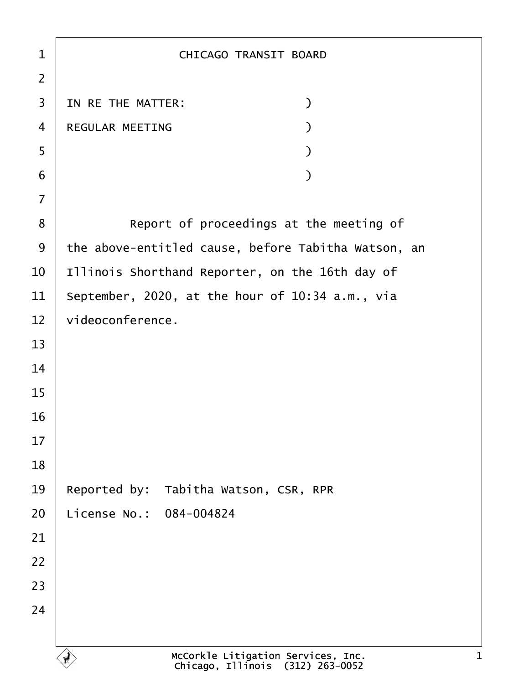| 1              | <b>CHICAGO TRANSIT BOARD</b>                        |
|----------------|-----------------------------------------------------|
| $\overline{2}$ |                                                     |
| 3              | IN RE THE MATTER:<br>$\mathcal{Y}$                  |
| 4              | <b>REGULAR MEETING</b>                              |
| 5              |                                                     |
| 6              |                                                     |
| 7              |                                                     |
| 8              | Report of proceedings at the meeting of             |
| 9              | the above-entitled cause, before Tabitha Watson, an |
| 10             | Illinois Shorthand Reporter, on the 16th day of     |
| 11             | September, 2020, at the hour of 10:34 a.m., via     |
| 12             | videoconference.                                    |
| 13             |                                                     |
| 14             |                                                     |
| 15             |                                                     |
| 16             |                                                     |
| 17             |                                                     |
| 18             |                                                     |
| 19             | Reported by: Tabitha Watson, CSR, RPR               |
| 20             | License No.: 084-004824                             |
| 21             |                                                     |
| 22             |                                                     |
| 23             |                                                     |
| 24             |                                                     |
|                |                                                     |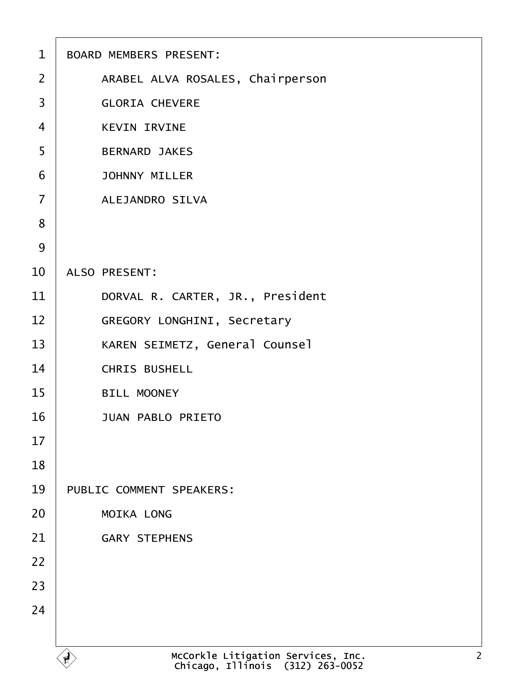| $\mathbf 1$    | <b>BOARD MEMBERS PRESENT:</b>         |
|----------------|---------------------------------------|
| $\overline{2}$ | ARABEL ALVA ROSALES, Chairperson      |
| 3              | <b>GLORIA CHEVERE</b>                 |
| 4              | <b>KEVIN IRVINE</b>                   |
| 5              | <b>BERNARD JAKES</b>                  |
| 6              | <b>JOHNNY MILLER</b>                  |
| $\overline{7}$ | <b>ALEJANDRO SILVA</b>                |
| 8              |                                       |
| 9              |                                       |
| 10             | <b>ALSO PRESENT:</b>                  |
| 11             | DORVAL R. CARTER, JR., President      |
| 12             | <b>GREGORY LONGHINI, Secretary</b>    |
| 13             | <b>KAREN SEIMETZ, General Counsel</b> |
| 14             | <b>CHRIS BUSHELL</b>                  |
| 15             | <b>BILL MOONEY</b>                    |
| 16             | <b>JUAN PABLO PRIETO</b>              |
| 17             |                                       |
| 18             |                                       |
| 19             | <b>PUBLIC COMMENT SPEAKERS:</b>       |
| 20             | <b>MOIKA LONG</b>                     |
| 21             | <b>GARY STEPHENS</b>                  |
| 22             |                                       |
| 23             |                                       |
| 24             |                                       |
|                |                                       |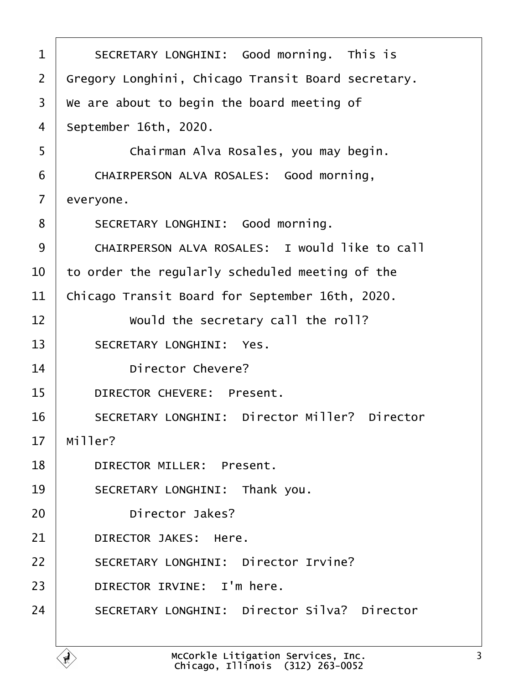<span id="page-2-0"></span>

| 1  | SECRETARY LONGHINI: Good morning. This is            |
|----|------------------------------------------------------|
| 2  | Gregory Longhini, Chicago Transit Board secretary.   |
| 3  | We are about to begin the board meeting of           |
| 4  | September 16th, 2020.                                |
| 5  | Chairman Alva Rosales, you may begin.                |
| 6  | CHAIRPERSON ALVA ROSALES: Good morning,              |
| 7  | everyone.                                            |
| 8  | SECRETARY LONGHINI: Good morning.                    |
| 9  | CHAIRPERSON ALVA ROSALES: I would like to call       |
| 10 | to order the regularly scheduled meeting of the      |
| 11 | Chicago Transit Board for September 16th, 2020.      |
| 12 | Would the secretary call the roll?                   |
| 13 | <b>SECRETARY LONGHINI: Yes.</b>                      |
| 14 | <b>Director Chevere?</b>                             |
| 15 | <b>DIRECTOR CHEVERE: Present.</b>                    |
| 16 | <b>SECRETARY LONGHINI: Director Miller? Director</b> |
| 17 | Miller?                                              |
| 18 | <b>DIRECTOR MILLER: Present.</b>                     |
| 19 | SECRETARY LONGHINI: Thank you.                       |
| 20 | Director Jakes?                                      |
| 21 | DIRECTOR JAKES: Here.                                |
| 22 | <b>SECRETARY LONGHINI: Director Irvine?</b>          |
| 23 | DIRECTOR IRVINE: I'm here.                           |
| 24 | <b>SECRETARY LONGHINI: Director Silva? Director</b>  |
|    |                                                      |

 $\Gamma$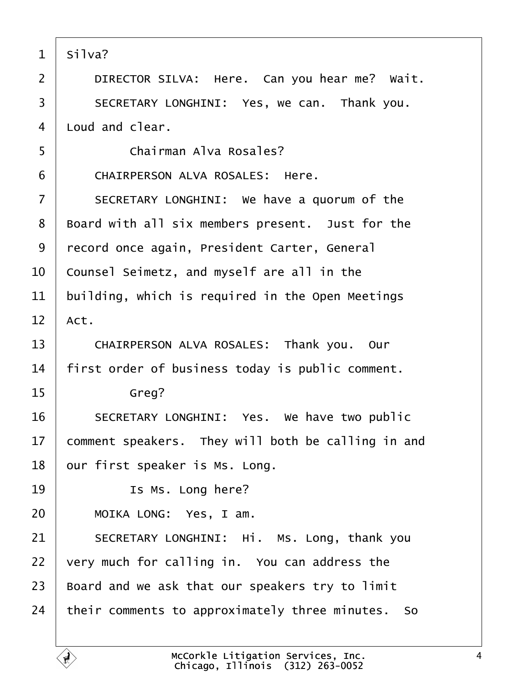<span id="page-3-0"></span>

| $\mathbf 1$    | Silva?                                             |
|----------------|----------------------------------------------------|
| 2              | DIRECTOR SILVA: Here. Can you hear me? Wait.       |
| 3              | SECRETARY LONGHINI: Yes, we can. Thank you.        |
| 4              | Loud and clear.                                    |
| 5              | Chairman Alva Rosales?                             |
| 6              | <b>CHAIRPERSON ALVA ROSALES: Here.</b>             |
| $\overline{7}$ | SECRETARY LONGHINI: We have a quorum of the        |
| 8              | Board with all six members present. Just for the   |
| 9              | record once again, President Carter, General       |
| 10             | Counsel Seimetz, and myself are all in the         |
| 11             | building, which is required in the Open Meetings   |
| 12             | Act.                                               |
| 13             | CHAIRPERSON ALVA ROSALES: Thank you. Our           |
| 14             | first order of business today is public comment.   |
| 15             | Greg?                                              |
| 16             | SECRETARY LONGHINI: Yes. We have two public        |
| 17             | comment speakers. They will both be calling in and |
| 18             | our first speaker is Ms. Long.                     |
| 19             | Is Ms. Long here?                                  |
| 20             | MOIKA LONG: Yes, I am.                             |
| 21             | SECRETARY LONGHINI: Hi. Ms. Long, thank you        |
| 22             | very much for calling in. You can address the      |
| 23             | Board and we ask that our speakers try to limit    |
| 24             | their comments to approximately three minutes. So  |
|                |                                                    |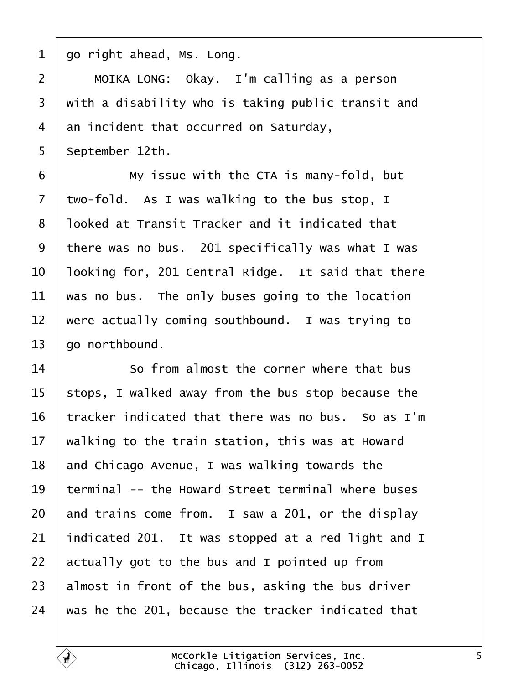<span id="page-4-0"></span>1 go right ahead, Ms. Long.

 $2 \mid$  MOIKA LONG: Okay. I'm calling as a person 3 with a disability who is taking public transit and 4 an incident that occurred on Saturday, 5 September 12th.  $6 \mid$  My issue with the CTA is many-fold, but 7 two-fold. As I was walking to the bus stop, I 8 looked at Transit Tracker and it indicated that 9 there was no bus. 201 specifically was what I was 10 looking for, 201 Central Ridge. It said that there 11 was no bus. The only buses going to the location 12 were actually coming southbound. I was trying to 13 **go northbound.**  $14$   $\phantom{1}$  So from almost the corner where that bus 15 stops, I walked away from the bus stop because the 16 tracker indicated that there was no bus. So as I'm 17 walking to the train station, this was at Howard 18 and Chicago Avenue, I was walking towards the 19 terminal -- the Howard Street terminal where buses 20 and trains come from. I saw a 201, or the display 21 indicated 201. It was stopped at a red light and I 22 actually got to the bus and I pointed up from 23 almost in front of the bus, asking the bus driver 24 was he the 201, because the tracker indicated that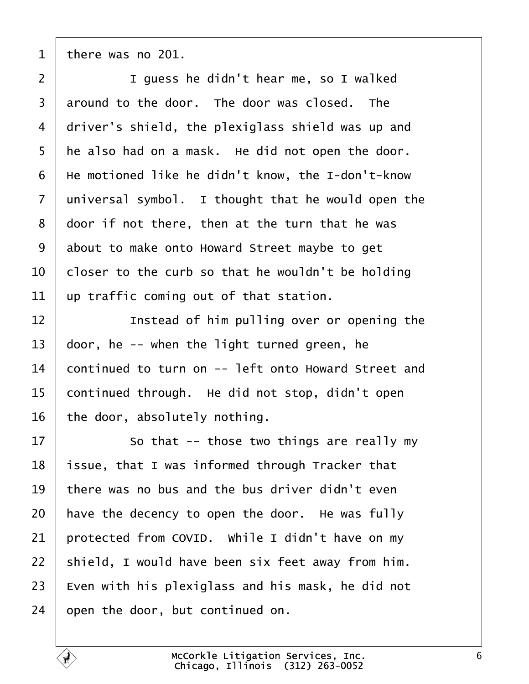<span id="page-5-0"></span>1 there was no 201.

 $2 \mid$  I guess he didn't hear me, so I walked 3 around to the door. The door was closed. The 4 driver's shield, the plexiglass shield was up and 5 he also had on a mask. He did not open the door. 6 He motioned like he didn't know, the I-don't-know 7 diniversal symbol. I thought that he would open the 8 door if not there, then at the turn that he was 9 about to make onto Howard Street maybe to get 10 bloser to the curb so that he wouldn't be holding 11 up traffic coming out of that station. 12 **I** instead of him pulling over or opening the 13 door, he -- when the light turned green, he 14 continued to turn on -- left onto Howard Street and 15 continued through. He did not stop, didn't open 16 the door, absolutely nothing.  $17$   $\parallel$  So that -- those two things are really my 18 **issue, that I was informed through Tracker that** 19 there was no bus and the bus driver didn't even 20 have the decency to open the door. He was fully 21 protected from COVID. While I didn't have on my 22 shield, I would have been six feet away from him. 23 Even with his plexiglass and his mask, he did not 24 bpen the door, but continued on.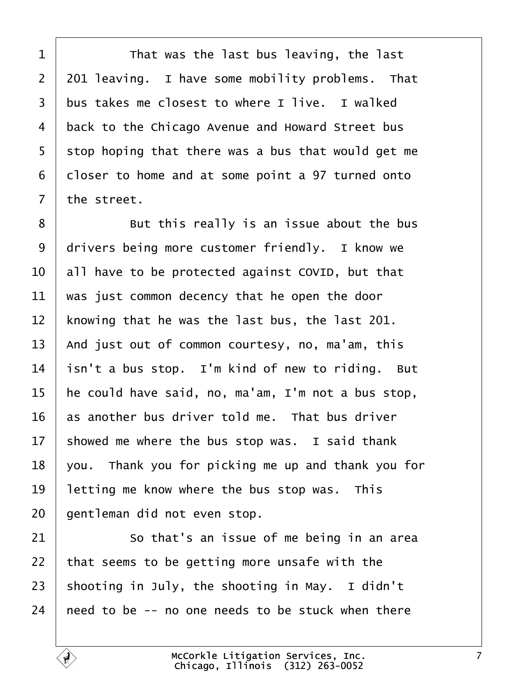<span id="page-6-0"></span> $1$   $\parallel$  That was the last bus leaving, the last 2 201 leaving. I have some mobility problems. That 3 bus takes me closest to where I live. I walked 4 back to the Chicago Avenue and Howard Street bus 5 stop hoping that there was a bus that would get me 6 doser to home and at some point a 97 turned onto 7 the street.

8 **But this really is an issue about the bus** 9 drivers being more customer friendly. I know we 10 all have to be protected against COVID, but that 11 was just common decency that he open the door 12 knowing that he was the last bus, the last 201. 13 And just out of common courtesy, no, ma'am, this 14 isn't a bus stop. I'm kind of new to riding. But 15 he could have said, no, ma'am, I'm not a bus stop, 16 as another bus driver told me. That bus driver 17 showed me where the bus stop was. I said thank 18 you. Thank you for picking me up and thank you for 19 letting me know where the bus stop was. This 20 gentleman did not even stop.  $21$   $\sim$  So that's an issue of me being in an area 22 that seems to be getting more unsafe with the 23 shooting in July, the shooting in May. I didn't 24 heed to be -- no one needs to be stuck when there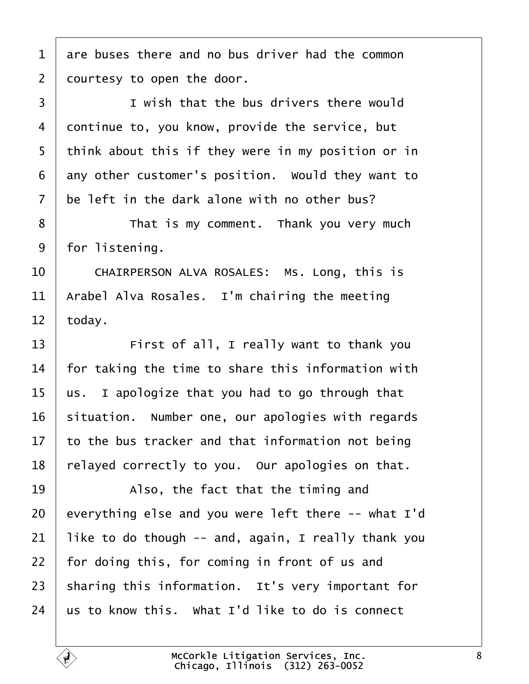<span id="page-7-0"></span>1 are buses there and no bus driver had the common 2 dourtesy to open the door. 3 **I** I wish that the bus drivers there would 4 dontinue to, you know, provide the service, but 5 think about this if they were in my position or in 6 any other customer's position. Would they want to 7 be left in the dark alone with no other bus? 8 **That is my comment.** Thank you very much 9 for listening. 10 CHAIRPERSON ALVA ROSALES: Ms. Long, this is 11 Arabel Alva Rosales. I'm chairing the meeting 12 today. 13 **First of all, I really want to thank you** 14 for taking the time to share this information with 15 us. I apologize that you had to go through that 16 situation. Number one, our apologies with regards 17 to the bus tracker and that information not being 18 relayed correctly to you. Our apologies on that.  $19$  | Also, the fact that the timing and 20 everything else and you were left there -- what I'd 21 like to do though  $-$  and, again, I really thank you 22 for doing this, for coming in front of us and 23 sharing this information. It's very important for 24 us to know this. What I'd like to do is connect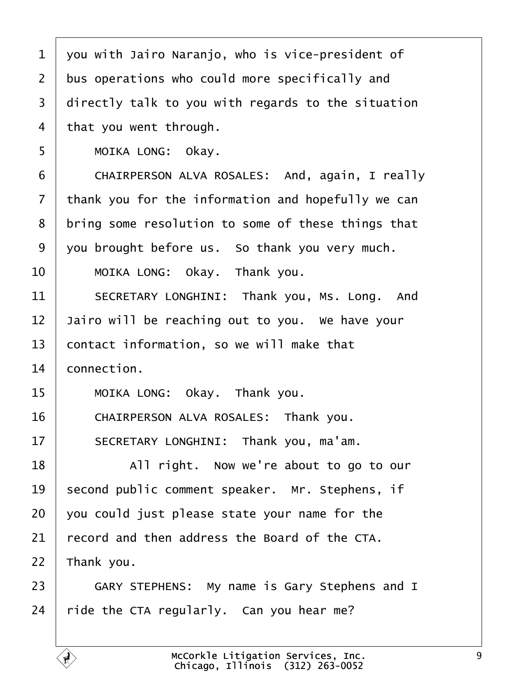<span id="page-8-0"></span>

| 1               | you with Jairo Naranjo, who is vice-president of   |
|-----------------|----------------------------------------------------|
| $\overline{2}$  | bus operations who could more specifically and     |
| 3               | directly talk to you with regards to the situation |
| 4               | that you went through.                             |
| 5               | MOIKA LONG: Okay.                                  |
| 6               | CHAIRPERSON ALVA ROSALES: And, again, I really     |
| 7               | thank you for the information and hopefully we can |
| 8               | bring some resolution to some of these things that |
| 9               | you brought before us. So thank you very much.     |
| 10              | MOIKA LONG: Okay. Thank you.                       |
| 11              | SECRETARY LONGHINI: Thank you, Ms. Long. And       |
| 12 <sub>2</sub> | Jairo will be reaching out to you. We have your    |
| 13              | contact information, so we will make that          |
| 14              | connection.                                        |
| 15              | MOIKA LONG: Okay. Thank you.                       |
| 16              | CHAIRPERSON ALVA ROSALES: Thank you.               |
| 17              | SECRETARY LONGHINI: Thank you, ma'am.              |
| 18              | All right. Now we're about to go to our            |
| 19              | second public comment speaker. Mr. Stephens, if    |
| 20              | you could just please state your name for the      |
| 21              | record and then address the Board of the CTA.      |
| 22              | Thank you.                                         |
| 23              | GARY STEPHENS: My name is Gary Stephens and I      |
| 24              | ride the CTA regularly. Can you hear me?           |
|                 |                                                    |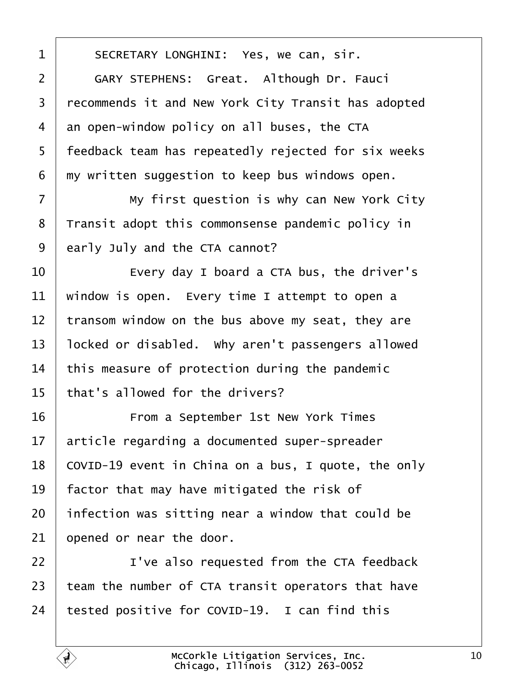<span id="page-9-0"></span>

| 1              | SECRETARY LONGHINI: Yes, we can, sir.               |
|----------------|-----------------------------------------------------|
| $\overline{2}$ | GARY STEPHENS: Great. Although Dr. Fauci            |
| 3              | recommends it and New York City Transit has adopted |
| 4              | an open-window policy on all buses, the CTA         |
| 5              | feedback team has repeatedly rejected for six weeks |
| 6              | my written suggestion to keep bus windows open.     |
| $\overline{7}$ | My first question is why can New York City          |
| 8              | Transit adopt this commonsense pandemic policy in   |
| 9              | early July and the CTA cannot?                      |
| 10             | Every day I board a CTA bus, the driver's           |
| 11             | window is open. Every time I attempt to open a      |
| 12             | transom window on the bus above my seat, they are   |
| 13             | locked or disabled. Why aren't passengers allowed   |
| 14             | this measure of protection during the pandemic      |
| 15             | that's allowed for the drivers?                     |
| 16             | From a September 1st New York Times                 |
| 17             | article regarding a documented super-spreader       |
| 18             | COVID-19 event in China on a bus, I quote, the only |
| 19             | factor that may have mitigated the risk of          |
| 20             | infection was sitting near a window that could be   |
| 21             | opened or near the door.                            |
| 22             | I've also requested from the CTA feedback           |
| 23             | team the number of CTA transit operators that have  |
| 24             | tested positive for COVID-19. I can find this       |
|                |                                                     |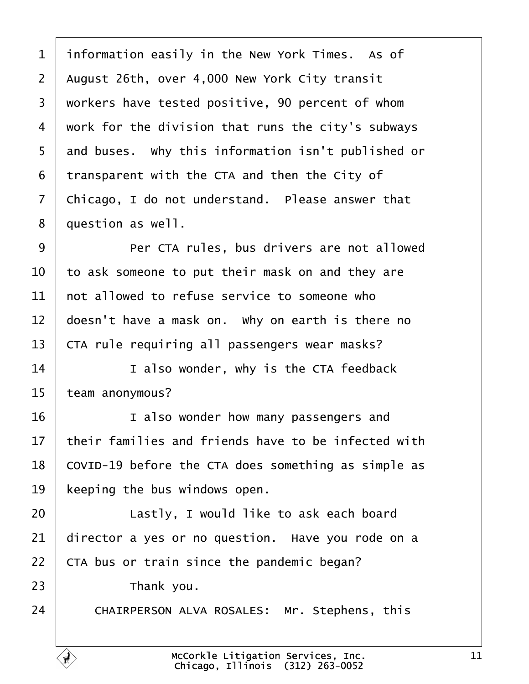<span id="page-10-0"></span>

| $\mathbf 1$    | information easily in the New York Times. As of     |
|----------------|-----------------------------------------------------|
| 2              | August 26th, over 4,000 New York City transit       |
| 3              | workers have tested positive, 90 percent of whom    |
| 4              | work for the division that runs the city's subways  |
| 5              | and buses. Why this information isn't published or  |
| 6              | transparent with the CTA and then the City of       |
| $\overline{7}$ | Chicago, I do not understand. Please answer that    |
| 8              | question as well.                                   |
| 9              | Per CTA rules, bus drivers are not allowed          |
| 10             | to ask someone to put their mask on and they are    |
| 11             | not allowed to refuse service to someone who        |
| 12             | doesn't have a mask on. Why on earth is there no    |
| 13             | CTA rule requiring all passengers wear masks?       |
| 14             | I also wonder, why is the CTA feedback              |
| 15             | team anonymous?                                     |
| 16             | I also wonder how many passengers and               |
| 17             | their families and friends have to be infected with |
| 18             | COVID-19 before the CTA does something as simple as |
| 19             | keeping the bus windows open.                       |
| 20             | Lastly, I would like to ask each board              |
| 21             | director a yes or no question. Have you rode on a   |
| 22             | CTA bus or train since the pandemic began?          |
| 23             | Thank you.                                          |
| 24             | CHAIRPERSON ALVA ROSALES: Mr. Stephens, this        |
|                |                                                     |

 $\sqrt{ }$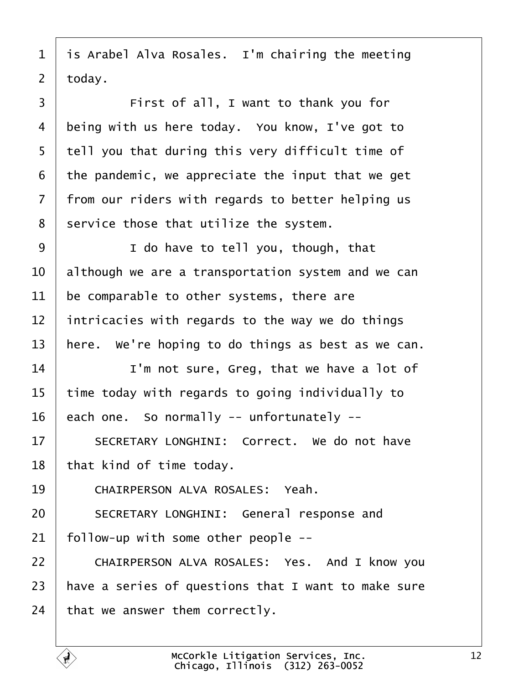<span id="page-11-0"></span>

| $\mathbf 1$    | is Arabel Alva Rosales. I'm chairing the meeting    |
|----------------|-----------------------------------------------------|
| $\overline{2}$ | today.                                              |
| 3              | First of all, I want to thank you for               |
| 4              | being with us here today. You know, I've got to     |
| 5              | tell you that during this very difficult time of    |
| 6              | the pandemic, we appreciate the input that we get   |
| $\overline{7}$ | from our riders with regards to better helping us   |
| 8              | service those that utilize the system.              |
| 9              | I do have to tell you, though, that                 |
| 10             | although we are a transportation system and we can  |
| 11             | be comparable to other systems, there are           |
| 12             | intricacies with regards to the way we do things    |
| 13             | here. We're hoping to do things as best as we can.  |
| 14             | I'm not sure, Greg, that we have a lot of           |
| 15             | time today with regards to going individually to    |
| 16             | each one. So normally -- unfortunately --           |
| 17             | SECRETARY LONGHINI: Correct. We do not have         |
| 18             | that kind of time today.                            |
| 19             | CHAIRPERSON ALVA ROSALES: Yeah.                     |
| 20             | SECRETARY LONGHINI: General response and            |
| 21             | follow-up with some other people --                 |
| 22             | CHAIRPERSON ALVA ROSALES: Yes. And I know you       |
| 23             | have a series of questions that I want to make sure |
| 24             | that we answer them correctly.                      |
|                |                                                     |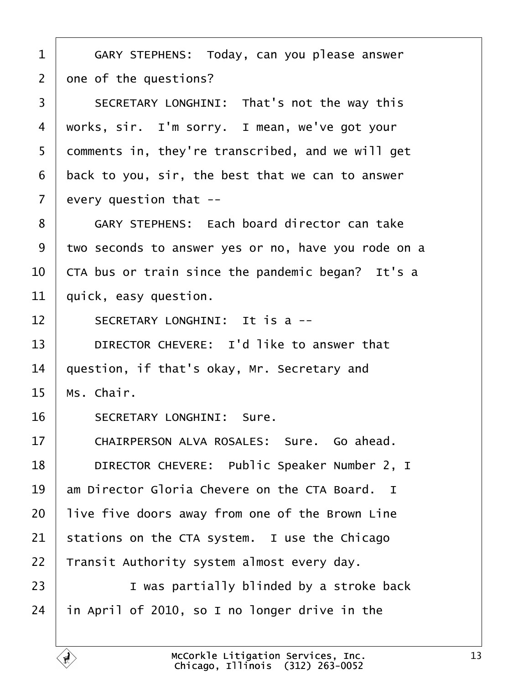<span id="page-12-0"></span>

| 1              | GARY STEPHENS: Today, can you please answer         |
|----------------|-----------------------------------------------------|
| $\overline{2}$ | one of the questions?                               |
| 3              | SECRETARY LONGHINI: That's not the way this         |
| 4              | works, sir. I'm sorry. I mean, we've got your       |
| 5              | domments in, they're transcribed, and we will get   |
| 6              | back to you, sir, the best that we can to answer    |
| $\overline{7}$ | every question that --                              |
| 8              | <b>GARY STEPHENS: Each board director can take</b>  |
| 9              | two seconds to answer yes or no, have you rode on a |
| 10             | CTA bus or train since the pandemic began? It's a   |
| 11             | quick, easy question.                               |
| 12             | SECRETARY LONGHINI: It is a --                      |
| 13             | DIRECTOR CHEVERE: I'd like to answer that           |
| 14             | question, if that's okay, Mr. Secretary and         |
| 15             | Ms. Chair.                                          |
| 16             | <b>SECRETARY LONGHINI: Sure.</b>                    |
| 17             | CHAIRPERSON ALVA ROSALES: Sure. Go ahead.           |
| 18             | DIRECTOR CHEVERE: Public Speaker Number 2, I        |
| 19             | am Director Gloria Chevere on the CTA Board. I      |
| 20             | live five doors away from one of the Brown Line     |
| 21             | stations on the CTA system. I use the Chicago       |
| 22             | Transit Authority system almost every day.          |
| 23             | I was partially blinded by a stroke back            |
| 24             | in April of 2010, so I no longer drive in the       |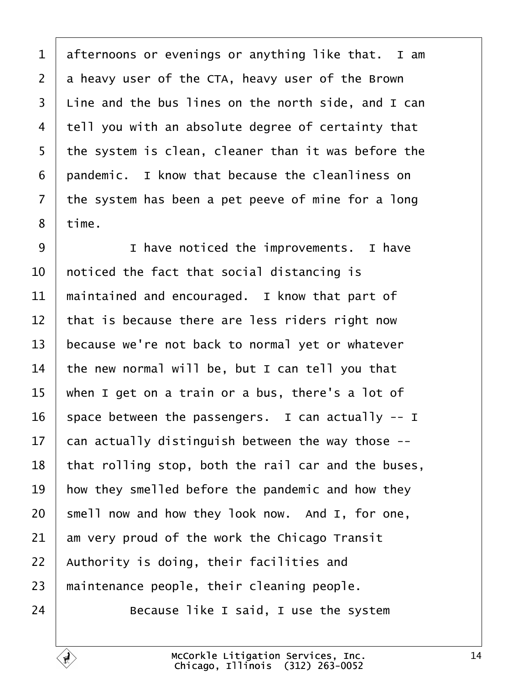<span id="page-13-0"></span>1 difternoons or evenings or anything like that. I am 2 a heavy user of the CTA, heavy user of the Brown 3 Line and the bus lines on the north side, and I can 4 tell you with an absolute degree of certainty that 5 the system is clean, cleaner than it was before the 6 pandemic. I know that because the cleanliness on 7 the system has been a pet peeve of mine for a long 8 time. 9 | I have noticed the improvements. I have 10 hoticed the fact that social distancing is 11 maintained and encouraged. I know that part of 12 that is because there are less riders right now 13 because we're not back to normal yet or whatever 14 the new normal will be, but I can tell you that 15 when I get on a train or a bus, there's a lot of 16 space between the passengers. I can actually -- I 17 can actually distinguish between the way those --18 that rolling stop, both the rail car and the buses, 19 how they smelled before the pandemic and how they 20  $\epsilon$  smell now and how they look now. And I, for one, 21 am very proud of the work the Chicago Transit 22 Authority is doing, their facilities and 23 maintenance people, their cleaning people. 24 **Because like I said, I use the system**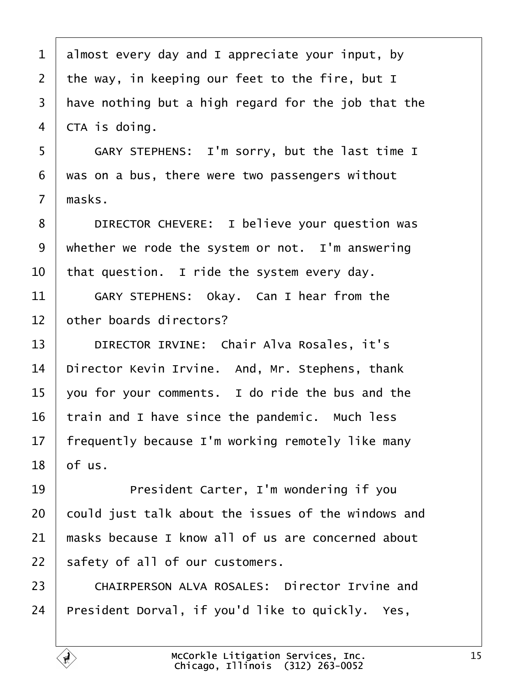<span id="page-14-0"></span>

| 1              | almost every day and I appreciate your input, by    |
|----------------|-----------------------------------------------------|
| $\overline{2}$ | the way, in keeping our feet to the fire, but I     |
| 3              | have nothing but a high regard for the job that the |
| 4              | <b>CTA</b> is doing.                                |
| 5              | GARY STEPHENS: I'm sorry, but the last time I       |
| 6              | was on a bus, there were two passengers without     |
| $\overline{7}$ | masks.                                              |
| 8              | DIRECTOR CHEVERE: I believe your question was       |
| 9              | whether we rode the system or not. I'm answering    |
| 10             | that question. I ride the system every day.         |
| 11             | GARY STEPHENS: Okay. Can I hear from the            |
| 12             | other boards directors?                             |
| 13             | DIRECTOR IRVINE: Chair Alva Rosales, it's           |
| 14             | Director Kevin Irvine. And, Mr. Stephens, thank     |
| 15             | you for your comments. I do ride the bus and the    |
| 16             | train and I have since the pandemic. Much less      |
| 17             | frequently because I'm working remotely like many   |
| 18             | of us.                                              |
| 19             | President Carter, I'm wondering if you              |
| 20             | could just talk about the issues of the windows and |
| 21             | masks because I know all of us are concerned about  |
| 22             | safety of all of our customers.                     |
| 23             | CHAIRPERSON ALVA ROSALES: Director Irvine and       |
| 24             | President Dorval, if you'd like to quickly. Yes,    |
|                |                                                     |

 $\Gamma$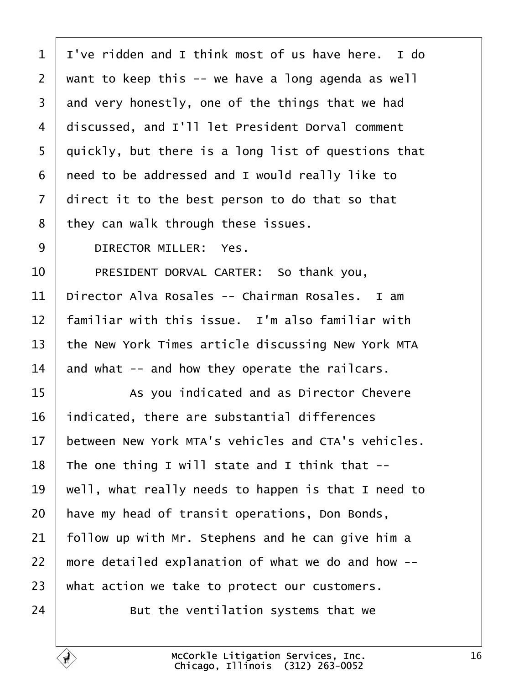<span id="page-15-0"></span>

| 1              | I've ridden and I think most of us have here. I do  |
|----------------|-----------------------------------------------------|
| $\overline{2}$ | want to keep this -- we have a long agenda as well  |
| 3              | and very honestly, one of the things that we had    |
| 4              | discussed, and I'll let President Dorval comment    |
| 5              | quickly, but there is a long list of questions that |
| 6              | need to be addressed and I would really like to     |
| $\overline{7}$ | direct it to the best person to do that so that     |
| 8              | they can walk through these issues.                 |
| 9              | <b>DIRECTOR MILLER: Yes.</b>                        |
| 10             | PRESIDENT DORVAL CARTER: So thank you,              |
| 11             | Director Alva Rosales -- Chairman Rosales. I am     |
| 12             | familiar with this issue. I'm also familiar with    |
| 13             | the New York Times article discussing New York MTA  |
| 14             | and what -- and how they operate the railcars.      |
| 15             | As you indicated and as Director Chevere            |
| 16             | indicated, there are substantial differences        |
| 17             | between New York MTA's vehicles and CTA's vehicles. |
| 18             | The one thing I will state and I think that --      |
| 19             | well, what really needs to happen is that I need to |
| 20             | have my head of transit operations, Don Bonds,      |
| 21             | follow up with Mr. Stephens and he can give him a   |
| 22             | more detailed explanation of what we do and how --  |
| 23             | what action we take to protect our customers.       |
| 24             | But the ventilation systems that we                 |
|                |                                                     |

 $\sqrt{ }$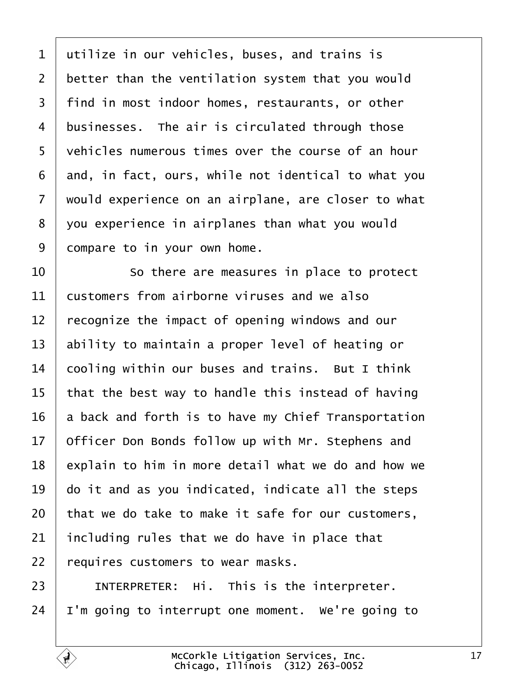<span id="page-16-0"></span>

| $\mathbf 1$    | utilize in our vehicles, buses, and trains is       |
|----------------|-----------------------------------------------------|
| $\overline{2}$ | better than the ventilation system that you would   |
| 3              | find in most indoor homes, restaurants, or other    |
| 4              | businesses. The air is circulated through those     |
| 5              | vehicles numerous times over the course of an hour  |
| 6              | and, in fact, ours, while not identical to what you |
| 7              | would experience on an airplane, are closer to what |
| 8              | you experience in airplanes than what you would     |
| 9              | dompare to in your own home.                        |
| 10             | So there are measures in place to protect           |
| 11             | customers from airborne viruses and we also         |
| 12             | recognize the impact of opening windows and our     |
| 13             | ability to maintain a proper level of heating or    |
| 14             | cooling within our buses and trains. But I think    |
| 15             | that the best way to handle this instead of having  |
| 16             | a back and forth is to have my Chief Transportation |
| 17             | Officer Don Bonds follow up with Mr. Stephens and   |
| 18             | explain to him in more detail what we do and how we |
| 19             | do it and as you indicated, indicate all the steps  |
| 20             | that we do take to make it safe for our customers,  |
| 21             | including rules that we do have in place that       |
| 22             | requires customers to wear masks.                   |
| 23             | INTERPRETER: Hi. This is the interpreter.           |
| 24             | 'm going to interrupt one moment. We're going to    |
|                |                                                     |

 $\Gamma$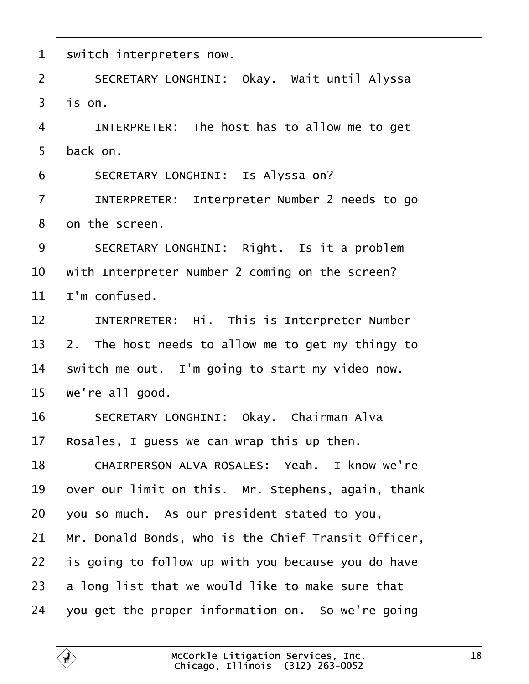<span id="page-17-0"></span>

| switch interpreters now.<br>1                                          |  |
|------------------------------------------------------------------------|--|
| SECRETARY LONGHINI: Okay. Wait until Alyssa<br>$\overline{2}$          |  |
| 3<br>i\$ on.                                                           |  |
| INTERPRETER: The host has to allow me to get<br>4                      |  |
| back on.<br>5                                                          |  |
| SECRETARY LONGHINI: Is Alyssa on?<br>6                                 |  |
| $\overline{7}$<br><b>INTERPRETER: Interpreter Number 2 needs to go</b> |  |
| 8<br>on the screen.                                                    |  |
| SECRETARY LONGHINI: Right. Is it a problem<br>9                        |  |
| 10<br>with Interpreter Number 2 coming on the screen?                  |  |
| 11<br>'m confused.                                                     |  |
| 12<br><b>INTERPRETER: Hi. This is Interpreter Number</b>               |  |
| 13<br>2. The host needs to allow me to get my thingy to                |  |
| switch me out. I'm going to start my video now.<br>14                  |  |
| 15<br>We're all good.                                                  |  |
| SECRETARY LONGHINI: Okay. Chairman Alva<br>16                          |  |
| 17<br>Rosales, I guess we can wrap this up then.                       |  |
| CHAIRPERSON ALVA ROSALES: Yeah. I know we're<br>18                     |  |
| over our limit on this. Mr. Stephens, again, thank<br>19               |  |
| you so much. As our president stated to you,<br>20                     |  |
| Mr. Donald Bonds, who is the Chief Transit Officer,<br>21              |  |
| 22<br>is going to follow up with you because you do have               |  |
| a long list that we would like to make sure that<br>23                 |  |
| you get the proper information on. So we're going<br>24                |  |
|                                                                        |  |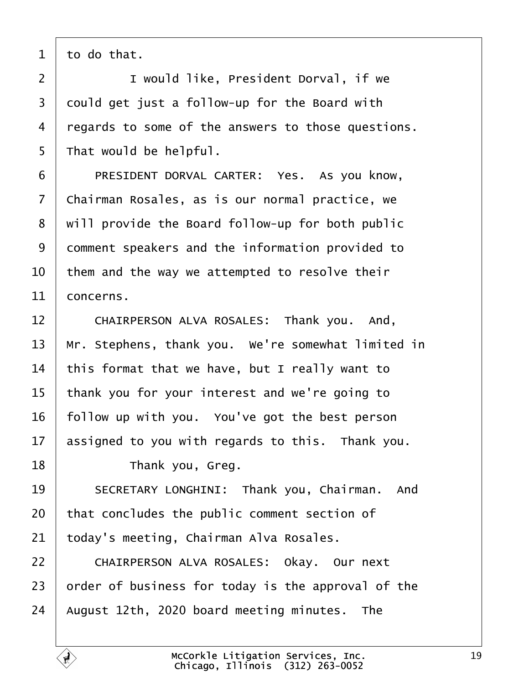<span id="page-18-0"></span>

|  |  |  | to do that. |  |
|--|--|--|-------------|--|
|--|--|--|-------------|--|

- 2 | I would like, President Dorval, if we
- 3 dould get just a follow-up for the Board with
- 4 regards to some of the answers to those questions.
- 5 That would be helpful.
- 6 | PRESIDENT DORVAL CARTER: Yes. As you know,
- 7 Chairman Rosales, as is our normal practice, we
- 8 will provide the Board follow-up for both public
- 9 domment speakers and the information provided to
- 10 them and the way we attempted to resolve their
- 11 *concerns*.
- 12 | CHAIRPERSON ALVA ROSALES: Thank you. And,
- 13 Mr. Stephens, thank you. We're somewhat limited in
- 14 this format that we have, but I really want to
- 15 thank you for your interest and we're going to
- 16 follow up with you. You've got the best person
- 17 assigned to you with regards to this. Thank you.
- 18 **Thank you, Greg.**
- 19 | SECRETARY LONGHINI: Thank you, Chairman. And
- 20 that concludes the public comment section of
- 21 today's meeting, Chairman Alva Rosales.
- 22 | CHAIRPERSON ALVA ROSALES: Okay. Our next
- 23 brder of business for today is the approval of the
- 24 August 12th, 2020 board meeting minutes. The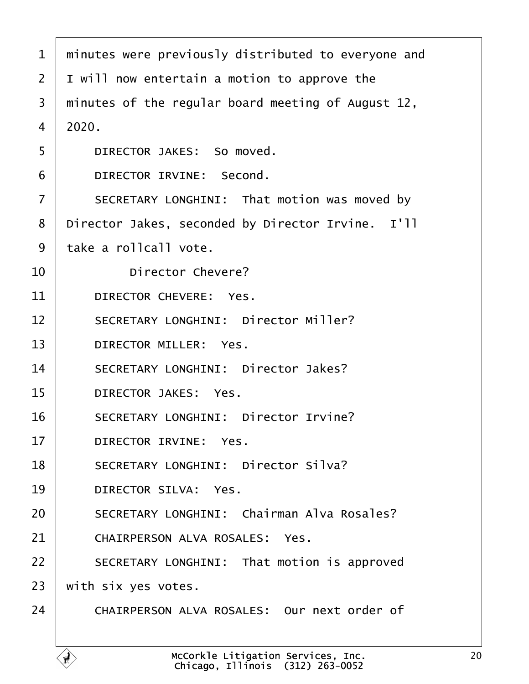<span id="page-19-0"></span>

| 1  | minutes were previously distributed to everyone and |
|----|-----------------------------------------------------|
| 2  | I will now entertain a motion to approve the        |
| 3  | minutes of the regular board meeting of August 12,  |
| 4  | 2020.                                               |
| 5  | DIRECTOR JAKES: So moved.                           |
| 6  | DIRECTOR IRVINE: Second.                            |
| 7  | SECRETARY LONGHINI: That motion was moved by        |
| 8  | Director Jakes, seconded by Director Irvine. I'll   |
| 9  | take a rollcall vote.                               |
| 10 | Director Chevere?                                   |
| 11 | DIRECTOR CHEVERE: Yes.                              |
| 12 | <b>SECRETARY LONGHINI: Director Miller?</b>         |
| 13 | <b>DIRECTOR MILLER: Yes.</b>                        |
| 14 | <b>SECRETARY LONGHINI: Director Jakes?</b>          |
| 15 | <b>DIRECTOR JAKES: Yes.</b>                         |
| 16 | <b>SECRETARY LONGHINI: Director Irvine?</b>         |
| 17 | <b>DIRECTOR IRVINE: Yes.</b>                        |
| 18 | <b>SECRETARY LONGHINI: Director Silva?</b>          |
| 19 | <b>DIRECTOR SILVA: Yes.</b>                         |
| 20 | <b>SECRETARY LONGHINI: Chairman Alva Rosales?</b>   |
| 21 | <b>CHAIRPERSON ALVA ROSALES: Yes.</b>               |
| 22 | SECRETARY LONGHINI: That motion is approved         |
| 23 | with six yes votes.                                 |
| 24 | CHAIRPERSON ALVA ROSALES: Our next order of         |
|    |                                                     |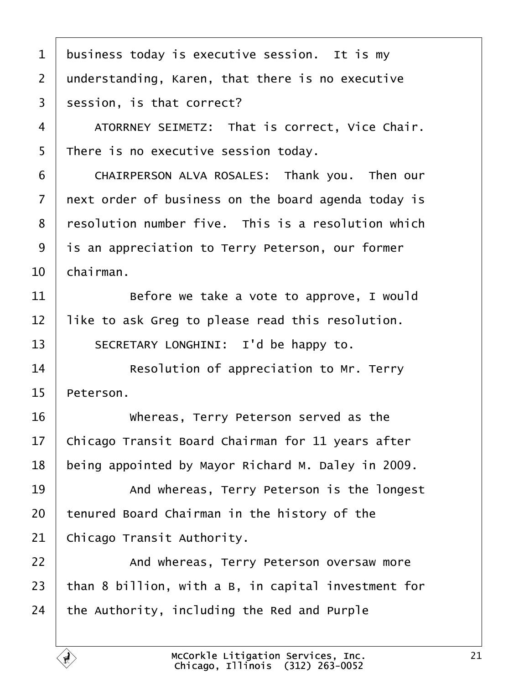<span id="page-20-0"></span>

| 1              | business today is executive session. It is my       |
|----------------|-----------------------------------------------------|
| 2              | understanding, Karen, that there is no executive    |
| 3              | session, is that correct?                           |
| 4              | ATORRNEY SEIMETZ: That is correct, Vice Chair.      |
| 5              | There is no executive session today.                |
| 6              | CHAIRPERSON ALVA ROSALES: Thank you. Then our       |
| $\overline{7}$ | next order of business on the board agenda today is |
| 8              | resolution number five. This is a resolution which  |
| 9              | is an appreciation to Terry Peterson, our former    |
| 10             | chairman.                                           |
| 11             | Before we take a vote to approve, I would           |
| 12             | like to ask Greg to please read this resolution.    |
| 13             | SECRETARY LONGHINI: I'd be happy to.                |
| 14             | Resolution of appreciation to Mr. Terry             |
| 15             | Peterson.                                           |
| 16             | Whereas, Terry Peterson served as the               |
| 17             | Chicago Transit Board Chairman for 11 years after   |
| 18             | being appointed by Mayor Richard M. Daley in 2009.  |
| 19             | And whereas, Terry Peterson is the longest          |
| 20             | tenured Board Chairman in the history of the        |
| 21             | Chicago Transit Authority.                          |
| 22             | And whereas, Terry Peterson oversaw more            |
| 23             | than 8 billion, with a B, in capital investment for |
| 24             | the Authority, including the Red and Purple         |
|                |                                                     |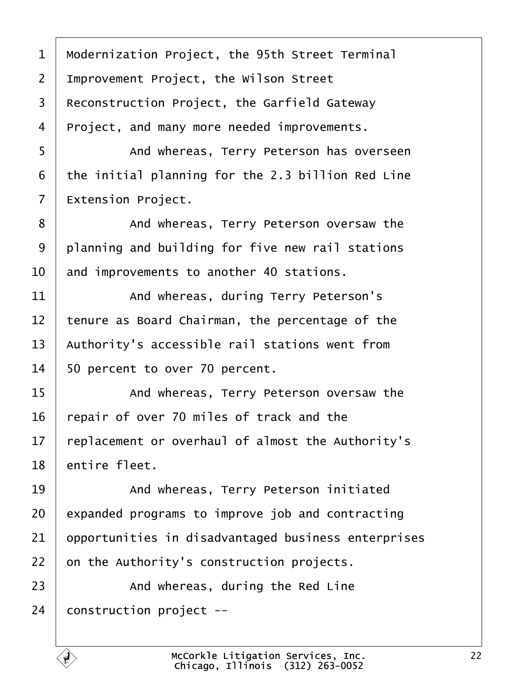<span id="page-21-0"></span>

| 1  | Modernization Project, the 95th Street Terminal     |
|----|-----------------------------------------------------|
| 2  | Improvement Project, the Wilson Street              |
| 3  | Reconstruction Project, the Garfield Gateway        |
| 4  | Project, and many more needed improvements.         |
| 5  | And whereas, Terry Peterson has overseen            |
| 6  | the initial planning for the 2.3 billion Red Line   |
| 7  | Extension Project.                                  |
| 8  | And whereas, Terry Peterson oversaw the             |
| 9  | planning and building for five new rail stations    |
| 10 | and improvements to another 40 stations.            |
| 11 | And whereas, during Terry Peterson's                |
| 12 | tenure as Board Chairman, the percentage of the     |
| 13 | Authority's accessible rail stations went from      |
| 14 | 50 percent to over 70 percent.                      |
| 15 | And whereas, Terry Peterson oversaw the             |
| 16 | epair of over 70 miles of track and the             |
| 17 | replacement or overhaul of almost the Authority's   |
| 18 | entire fleet.                                       |
| 19 | And whereas, Terry Peterson initiated               |
| 20 | expanded programs to improve job and contracting    |
| 21 | opportunities in disadvantaged business enterprises |
| 22 | on the Authority's construction projects.           |
| 23 | And whereas, during the Red Line                    |
| 24 | construction project --                             |
|    |                                                     |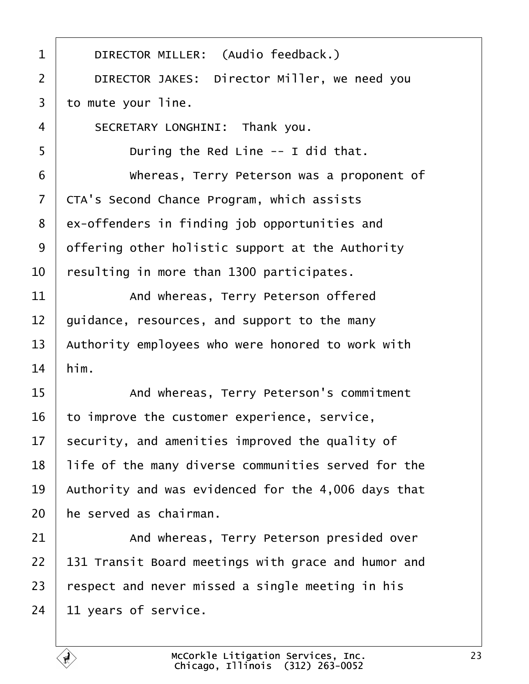<span id="page-22-0"></span>

| 1              | DIRECTOR MILLER: (Audio feedback.)                  |
|----------------|-----------------------------------------------------|
| $\overline{2}$ | DIRECTOR JAKES: Director Miller, we need you        |
| 3              | to mute your line.                                  |
| 4              | SECRETARY LONGHINI: Thank you.                      |
| 5              | During the Red Line -- I did that.                  |
| 6              | Whereas, Terry Peterson was a proponent of          |
| $\overline{7}$ | <b>CTA's Second Chance Program, which assists</b>   |
| 8              | ex-offenders in finding job opportunities and       |
| 9              | offering other holistic support at the Authority    |
| 10             | resulting in more than 1300 participates.           |
| 11             | And whereas, Terry Peterson offered                 |
| 12             | guidance, resources, and support to the many        |
| 13             | Authority employees who were honored to work with   |
| 14             | him.                                                |
| 15             | And whereas, Terry Peterson's commitment            |
| 16             | to improve the customer experience, service,        |
| 17             | security, and amenities improved the quality of     |
| 18             | life of the many diverse communities served for the |
| 19             | Authority and was evidenced for the 4,006 days that |
| 20             | he served as chairman.                              |
| 21             | And whereas, Terry Peterson presided over           |
| 22             | 131 Transit Board meetings with grace and humor and |
| 23             | respect and never missed a single meeting in his    |
| 24             | 11 years of service.                                |
|                |                                                     |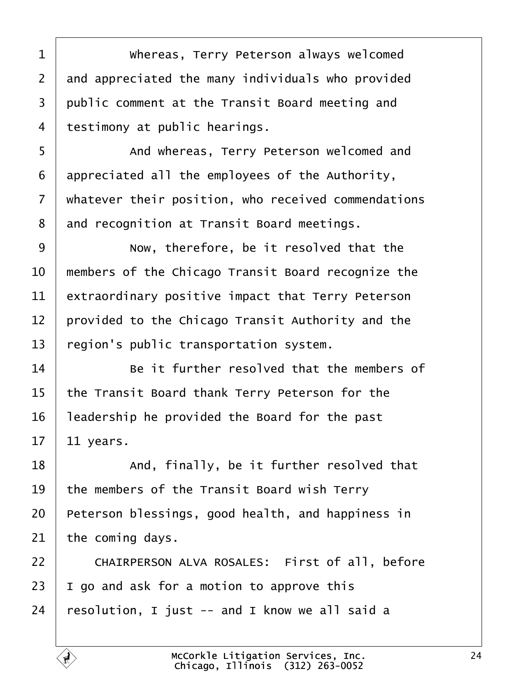<span id="page-23-0"></span>

| 1              | Whereas, Terry Peterson always welcomed             |
|----------------|-----------------------------------------------------|
| $\overline{2}$ | and appreciated the many individuals who provided   |
| 3              | public comment at the Transit Board meeting and     |
| 4              | testimony at public hearings.                       |
| 5              | And whereas, Terry Peterson welcomed and            |
| 6              | appreciated all the employees of the Authority,     |
| 7              | whatever their position, who received commendations |
| 8              | and recognition at Transit Board meetings.          |
| 9              | Now, therefore, be it resolved that the             |
| 10             | members of the Chicago Transit Board recognize the  |
| 11             | extraordinary positive impact that Terry Peterson   |
| 12             | provided to the Chicago Transit Authority and the   |
| 13             | egion's public transportation system.               |
| 14             | Be it further resolved that the members of          |
| 15             | the Transit Board thank Terry Peterson for the      |
| 16             | leadership he provided the Board for the past       |
| 17             | 11 years.                                           |
| 18             | And, finally, be it further resolved that           |
| 19             | the members of the Transit Board wish Terry         |
| 20             | Peterson blessings, good health, and happiness in   |
| 21             | the coming days.                                    |
| 22             | CHAIRPERSON ALVA ROSALES: First of all, before      |
| 23             | go and ask for a motion to approve this             |
| 24             | esolution, I just -- and I know we all said a       |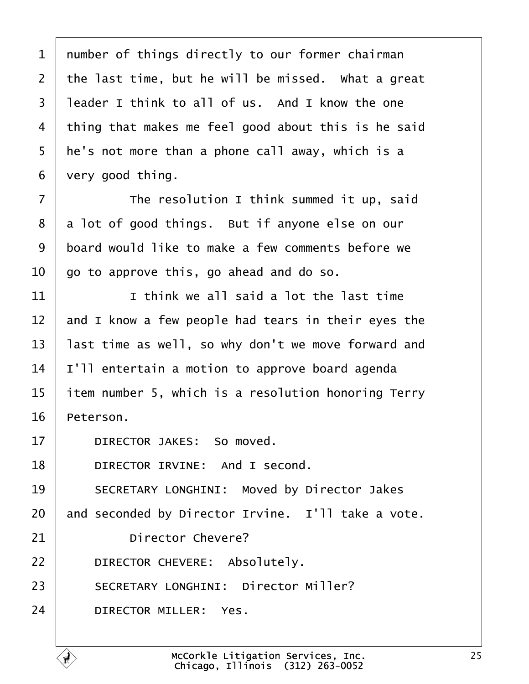<span id="page-24-0"></span>

| $\mathbf 1$ | number of things directly to our former chairman    |
|-------------|-----------------------------------------------------|
| 2           | the last time, but he will be missed. What a great  |
| 3           | leader I think to all of us. And I know the one     |
| 4           | thing that makes me feel good about this is he said |
| 5           | he's not more than a phone call away, which is a    |
| 6           | very good thing.                                    |
| 7           | The resolution I think summed it up, said           |
| 8           | a lot of good things. But if anyone else on our     |
| 9           | board would like to make a few comments before we   |
| 10          | go to approve this, go ahead and do so.             |
| 11          | I think we all said a lot the last time             |
| 12          | and I know a few people had tears in their eyes the |
| 13          | last time as well, so why don't we move forward and |
| 14          | 'Il entertain a motion to approve board agenda      |
| 15          | tem number 5, which is a resolution honoring Terry  |
| 16          | Peterson.                                           |
| 17          | DIRECTOR JAKES: So moved.                           |
| 18          | DIRECTOR IRVINE: And I second.                      |
| 19          | <b>SECRETARY LONGHINI: Moved by Director Jakes</b>  |
| 20          | and seconded by Director Irvine. I'll take a vote.  |
| 21          | <b>Director Chevere?</b>                            |
| 22          | DIRECTOR CHEVERE: Absolutely.                       |
| 23          | <b>SECRETARY LONGHINI: Director Miller?</b>         |
| 24          | <b>DIRECTOR MILLER: Yes.</b>                        |
|             |                                                     |

Г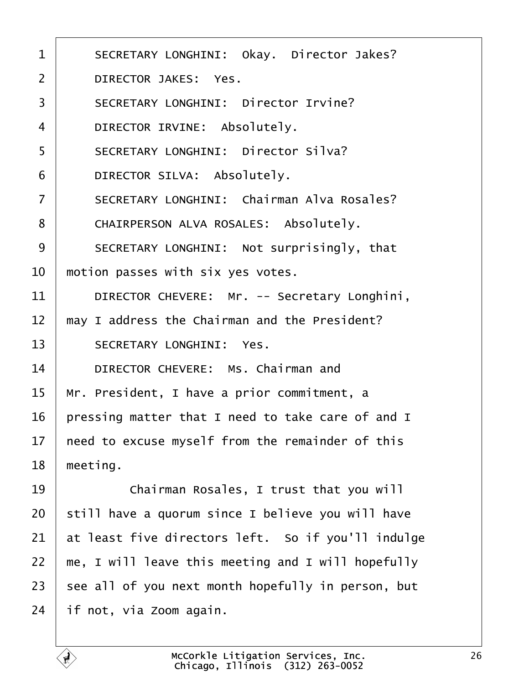<span id="page-25-0"></span>

| 1              | SECRETARY LONGHINI: Okay. Director Jakes?          |
|----------------|----------------------------------------------------|
| 2              | <b>DIRECTOR JAKES: Yes.</b>                        |
| 3              | <b>SECRETARY LONGHINI: Director Irvine?</b>        |
| 4              | DIRECTOR IRVINE: Absolutely.                       |
| 5              | <b>SECRETARY LONGHINI: Director Silva?</b>         |
| 6              | DIRECTOR SILVA: Absolutely.                        |
| $\overline{7}$ | <b>SECRETARY LONGHINI: Chairman Alva Rosales?</b>  |
| 8              | CHAIRPERSON ALVA ROSALES: Absolutely.              |
| 9              | SECRETARY LONGHINI: Not surprisingly, that         |
| 10             | motion passes with six yes votes.                  |
| 11             | DIRECTOR CHEVERE: Mr. -- Secretary Longhini,       |
| 12             | may I address the Chairman and the President?      |
| 13             | <b>SECRETARY LONGHINI: Yes.</b>                    |
| 14             | DIRECTOR CHEVERE: Ms. Chairman and                 |
| 15             | Mr. President, I have a prior commitment, a        |
| 16             | pressing matter that I need to take care of and I  |
| 17             | heed to excuse myself from the remainder of this   |
| 18             | meeting.                                           |
| 19             | Chairman Rosales, I trust that you will            |
| 20             | still have a quorum since I believe you will have  |
| 21             | at least five directors left. So if you'll indulge |
| 22             | me, I will leave this meeting and I will hopefully |
| 23             | see all of you next month hopefully in person, but |
| 24             | if not, via Zoom again.                            |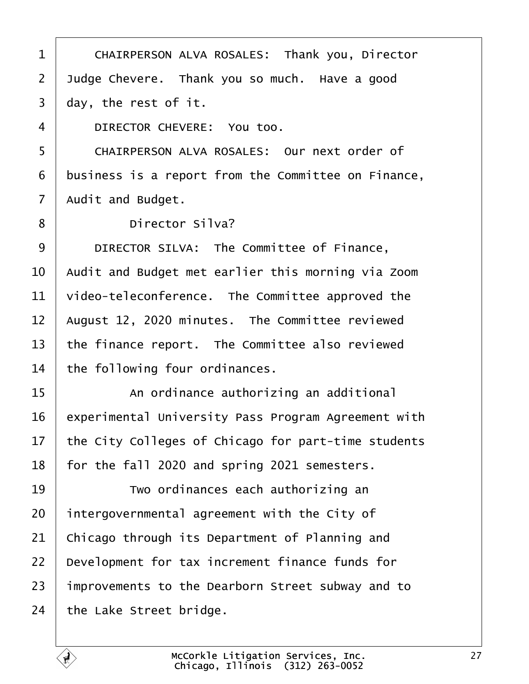<span id="page-26-0"></span>

| 1              | CHAIRPERSON ALVA ROSALES: Thank you, Director       |
|----------------|-----------------------------------------------------|
| $\overline{2}$ | Judge Chevere. Thank you so much. Have a good       |
| 3              | day, the rest of it.                                |
| 4              | DIRECTOR CHEVERE: You too.                          |
| 5              | CHAIRPERSON ALVA ROSALES: Our next order of         |
| 6              | business is a report from the Committee on Finance, |
| 7              | Audit and Budget.                                   |
| 8              | <b>Director Silva?</b>                              |
| 9              | DIRECTOR SILVA: The Committee of Finance,           |
| 10             | Audit and Budget met earlier this morning via Zoom  |
| 11             | video-teleconference. The Committee approved the    |
| 12             | August 12, 2020 minutes. The Committee reviewed     |
| 13             | the finance report. The Committee also reviewed     |
| 14             | the following four ordinances.                      |
| 15             | An ordinance authorizing an additional              |
| 16             | experimental University Pass Program Agreement with |
| 17             | the City Colleges of Chicago for part-time students |
| 18             | for the fall 2020 and spring 2021 semesters.        |
| 19             | Two ordinances each authorizing an                  |
| 20             | intergovernmental agreement with the City of        |
| 21             | Chicago through its Department of Planning and      |
| 22             | Development for tax increment finance funds for     |
| 23             | improvements to the Dearborn Street subway and to   |
| 24             | the Lake Street bridge.                             |
|                |                                                     |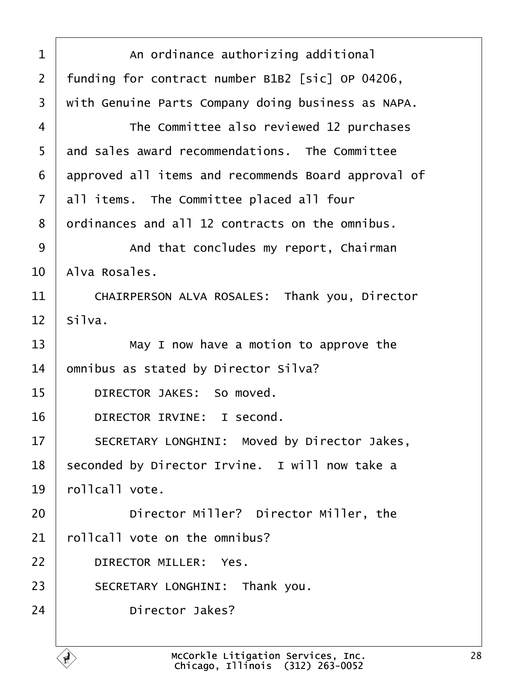<span id="page-27-0"></span>

| 1  | An ordinance authorizing additional                 |
|----|-----------------------------------------------------|
| 2  | funding for contract number B1B2 [sic] OP 04206,    |
| 3  | with Genuine Parts Company doing business as NAPA.  |
| 4  | The Committee also reviewed 12 purchases            |
| 5  | and sales award recommendations. The Committee      |
| 6  | approved all items and recommends Board approval of |
| 7  | all items. The Committee placed all four            |
| 8  | drdinances and all 12 contracts on the omnibus.     |
| 9  | And that concludes my report, Chairman              |
| 10 | Alva Rosales.                                       |
| 11 | CHAIRPERSON ALVA ROSALES: Thank you, Director       |
| 12 | Silva.                                              |
| 13 | May I now have a motion to approve the              |
| 14 | omnibus as stated by Director Silva?                |
| 15 | DIRECTOR JAKES: So moved.                           |
| 16 | DIRECTOR IRVINE: I second.                          |
| 17 | SECRETARY LONGHINI: Moved by Director Jakes,        |
| 18 | seconded by Director Irvine. I will now take a      |
| 19 | rollcall vote.                                      |
| 20 | Director Miller? Director Miller, the               |
| 21 | rollcall vote on the omnibus?                       |
| 22 | DIRECTOR MILLER: Yes.                               |
| 23 | SECRETARY LONGHINI: Thank you.                      |
| 24 | Director Jakes?                                     |
|    |                                                     |

Г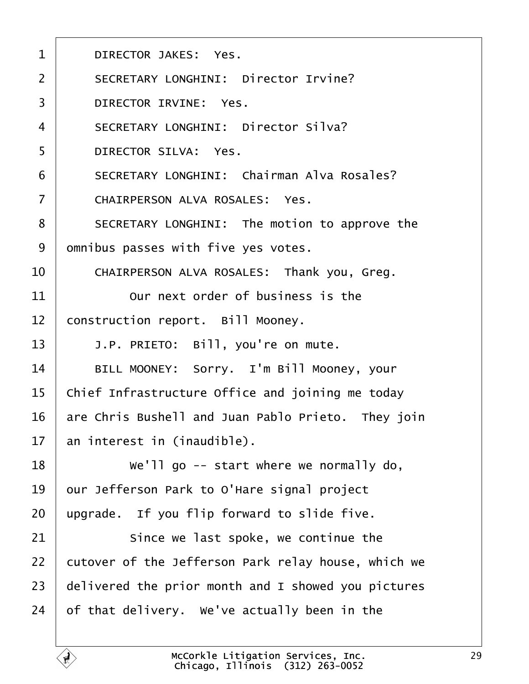<span id="page-28-0"></span>

| 1                 | <b>DIRECTOR JAKES: Yes.</b>                         |
|-------------------|-----------------------------------------------------|
| 2                 | <b>SECRETARY LONGHINI: Director Irvine?</b>         |
| 3                 | DIRECTOR IRVINE: Yes.                               |
| $\overline{4}$    | <b>SECRETARY LONGHINI: Director Silva?</b>          |
| 5                 | <b>DIRECTOR SILVA: Yes.</b>                         |
| 6                 | <b>SECRETARY LONGHINI: Chairman Alva Rosales?</b>   |
| $\overline{7}$    | <b>CHAIRPERSON ALVA ROSALES: Yes.</b>               |
| 8                 | SECRETARY LONGHINI: The motion to approve the       |
| 9                 | dmnibus passes with five yes votes.                 |
| 10                | CHAIRPERSON ALVA ROSALES: Thank you, Greg.          |
| 11                | Our next order of business is the                   |
| $12 \overline{ }$ | construction report. Bill Mooney.                   |
| 13                | J.P. PRIETO: Bill, you're on mute.                  |
| 14                | BILL MOONEY: Sorry. I'm Bill Mooney, your           |
| 15                | Chief Infrastructure Office and joining me today    |
| 16                | are Chris Bushell and Juan Pablo Prieto. They join  |
| 17                | an interest in (inaudible).                         |
| 18                | We'll go -- start where we normally do,             |
| 19                | our Jefferson Park to O'Hare signal project         |
| 20                | upgrade. If you flip forward to slide five.         |
| 21                | Since we last spoke, we continue the                |
| 22                | cutover of the Jefferson Park relay house, which we |
| 23                | delivered the prior month and I showed you pictures |
| 24                | of that delivery. We've actually been in the        |
|                   |                                                     |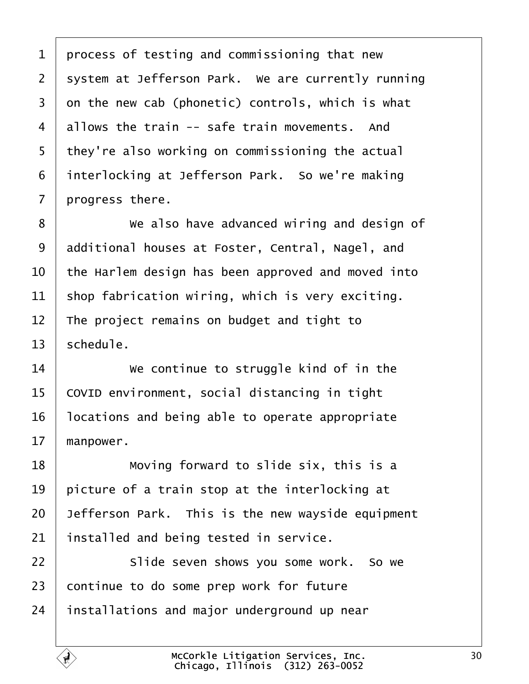<span id="page-29-0"></span>

| 1              | process of testing and commissioning that new      |
|----------------|----------------------------------------------------|
| $\overline{2}$ | system at Jefferson Park. We are currently running |
| 3              | on the new cab (phonetic) controls, which is what  |
| 4              | allows the train -- safe train movements. And      |
| 5              | they're also working on commissioning the actual   |
| 6              | interlocking at Jefferson Park. So we're making    |
| 7              | progress there.                                    |
| 8              | We also have advanced wiring and design of         |
| 9              | additional houses at Foster, Central, Nagel, and   |
| 10             | the Harlem design has been approved and moved into |
| 11             | shop fabrication wiring, which is very exciting.   |
| 12             | The project remains on budget and tight to         |
| 13             | schedule.                                          |
| 14             | We continue to struggle kind of in the             |
| 15             | COVID environment, social distancing in tight      |
| 16             | locations and being able to operate appropriate    |
| 17             | manpower.                                          |
| 18             | Moving forward to slide six, this is a             |
| 19             | picture of a train stop at the interlocking at     |
| 20             | Jefferson Park. This is the new wayside equipment  |
| 21             | installed and being tested in service.             |
| 22             | Slide seven shows you some work. So we             |
| 23             | continue to do some prep work for future           |
| 24             | installations and major underground up near        |
|                |                                                    |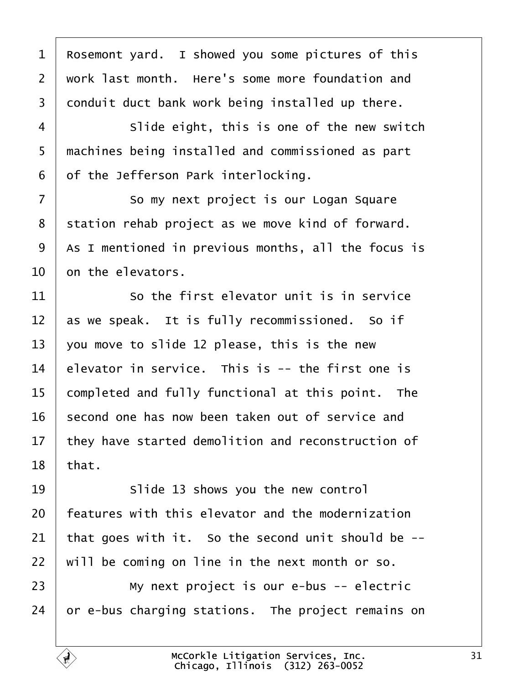<span id="page-30-0"></span>1 Rosemont yard. I showed you some pictures of this 2 work last month. Here's some more foundation and 3 donduit duct bank work being installed up there. 4 **Slide eight, this is one of the new switch** 5 machines being installed and commissioned as part 6 of the Jefferson Park interlocking. 7 **So my next project is our Logan Square** 8 station rehab project as we move kind of forward. 9 As I mentioned in previous months, all the focus is 10  $\,$  on the elevators.  $11$  · · So the first elevator unit is in service 12 as we speak. It is fully recommissioned. So if 13 you move to slide 12 please, this is the new 14  $\,$  elevator in service. This is -- the first one is 15 completed and fully functional at this point. The 16 second one has now been taken out of service and 17 they have started demolition and reconstruction of 18  $$ 19 **Slide 13 shows you the new control** 20 features with this elevator and the modernization 21 that goes with it. So the second unit should be --22 will be coming on line in the next month or so. 23 | My next project is our e-bus -- electric 24 or e-bus charging stations. The project remains on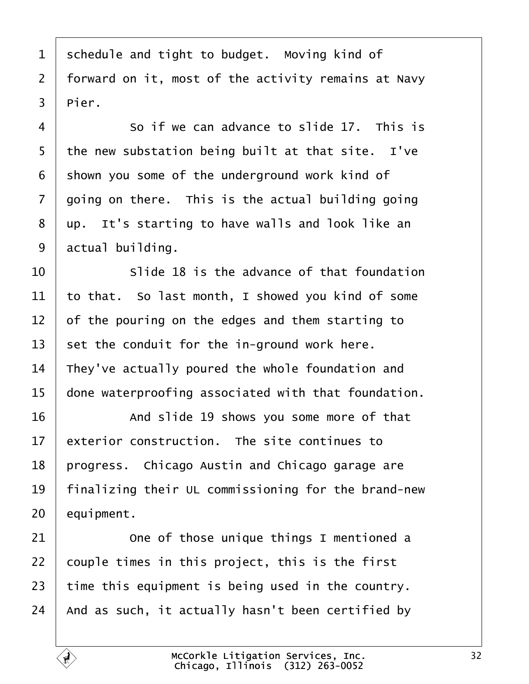<span id="page-31-0"></span>1 schedule and tight to budget. Moving kind of 2 forward on it, most of the activity remains at Navy 3 Pier. 4 **8** So if we can advance to slide 17. This is 5 the new substation being built at that site. I've 6 shown you some of the underground work kind of 7 going on there. This is the actual building going 8 up. It's starting to have walls and look like an 9 *actual building*.  $10$   $\blacksquare$  Slide 18 is the advance of that foundation 11 to that. So last month, I showed you kind of some 12 of the pouring on the edges and them starting to 13 set the conduit for the in-ground work here. 14 They've actually poured the whole foundation and 15 done waterproofing associated with that foundation. 16 And slide 19 shows you some more of that 17 exterior construction. The site continues to 18 progress. Chicago Austin and Chicago garage are 19 finalizing their UL commissioning for the brand-new 20 equipment. 21 **One of those unique things I mentioned a** 22 couple times in this project, this is the first 23 time this equipment is being used in the country. 24 And as such, it actually hasn't been certified by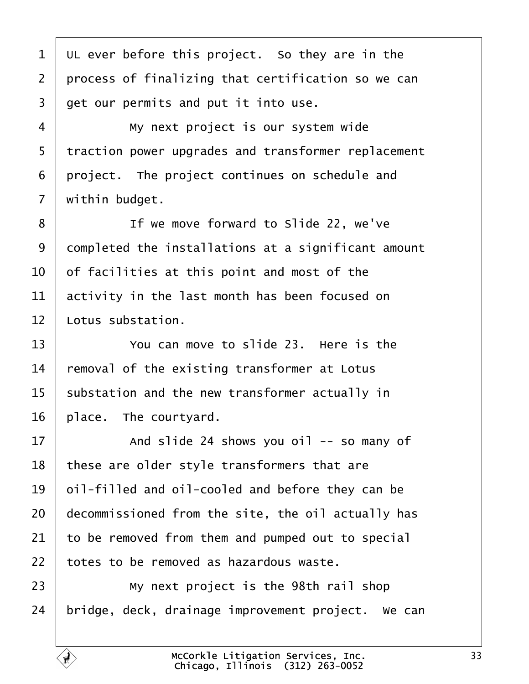<span id="page-32-0"></span>

| 1              | UL ever before this project. So they are in the     |
|----------------|-----------------------------------------------------|
| $\overline{2}$ | process of finalizing that certification so we can  |
| 3              | get our permits and put it into use.                |
| 4              | My next project is our system wide                  |
| 5              | traction power upgrades and transformer replacement |
| 6              | project. The project continues on schedule and      |
| 7              | within budget.                                      |
| 8              | If we move forward to Slide 22, we've               |
| 9              | dompleted the installations at a significant amount |
| 10             | of facilities at this point and most of the         |
| 11             | activity in the last month has been focused on      |
| 12             | Lotus substation.                                   |
| 13             | You can move to slide 23. Here is the               |
| 14             | removal of the existing transformer at Lotus        |
| 15             | substation and the new transformer actually in      |
| 16             | place. The courtyard.                               |
| 17             | And slide 24 shows you oil -- so many of            |
| 18             | these are older style transformers that are         |
| 19             | bil-filled and oil-cooled and before they can be    |
| 20             | decommissioned from the site, the oil actually has  |
| 21             | to be removed from them and pumped out to special   |
| 22             | totes to be removed as hazardous waste.             |
| 23             | My next project is the 98th rail shop               |
| 24             | bridge, deck, drainage improvement project. We can  |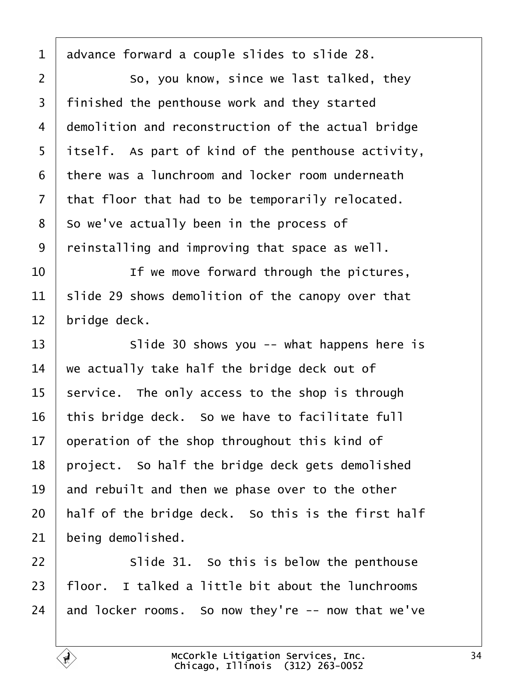<span id="page-33-0"></span>

| advance forward a couple slides to slide 28.       |
|----------------------------------------------------|
| So, you know, since we last talked, they           |
| finished the penthouse work and they started       |
| demolition and reconstruction of the actual bridge |
| itself. As part of kind of the penthouse activity, |
| there was a lunchroom and locker room underneath   |
| that floor that had to be temporarily relocated.   |
| So we've actually been in the process of           |
| reinstalling and improving that space as well.     |
| If we move forward through the pictures,           |
| slide 29 shows demolition of the canopy over that  |
| bridge deck.                                       |
| Slide 30 shows you -- what happens here is         |
| we actually take half the bridge deck out of       |
| service. The only access to the shop is through    |
| this bridge deck. So we have to facilitate full    |
| operation of the shop throughout this kind of      |
| project. So half the bridge deck gets demolished   |
| and rebuilt and then we phase over to the other    |
| half of the bridge deck. So this is the first half |
| being demolished.                                  |
| Slide 31. So this is below the penthouse           |
| floor. I talked a little bit about the lunchrooms  |
| and locker rooms. So now they're -- now that we've |
|                                                    |

 $\Gamma$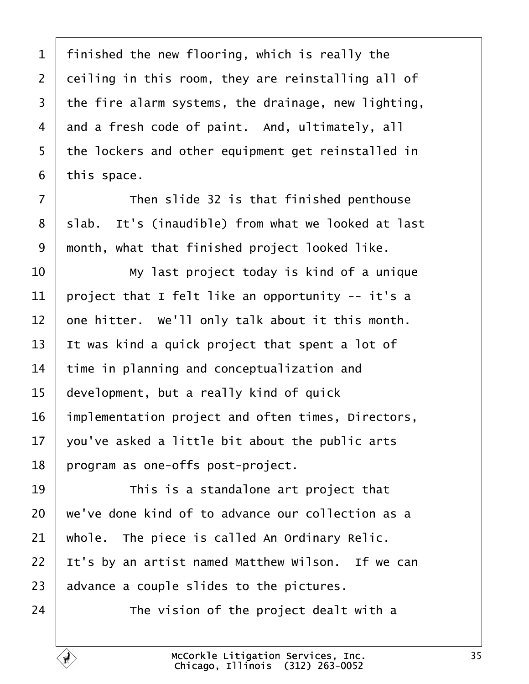<span id="page-34-0"></span>1 finished the new flooring, which is really the 2 deiling in this room, they are reinstalling all of 3 the fire alarm systems, the drainage, new lighting, 4 and a fresh code of paint. And, ultimately, all 5 the lockers and other equipment get reinstalled in 6 this space.

 $7 \mid$  Then slide 32 is that finished penthouse 8 slab. It's (inaudible) from what we looked at last 9 month, what that finished project looked like. 10 **I** My last project today is kind of a unique 11 broject that I felt like an opportunity -- it's a

12 one hitter. We'll only talk about it this month.

13 It was kind a quick project that spent a lot of

14 time in planning and conceptualization and

15 development, but a really kind of quick

16 implementation project and often times, Directors,

17  $\sqrt{2}$  you've asked a little bit about the public arts

18 program as one-offs post-project.

 $19$   $\parallel$  This is a standalone art project that

20 we've done kind of to advance our collection as a

21 whole. The piece is called An Ordinary Relic.

22 It's by an artist named Matthew Wilson. If we can

23 advance a couple slides to the pictures.

 $24$   $\parallel$  The vision of the project dealt with a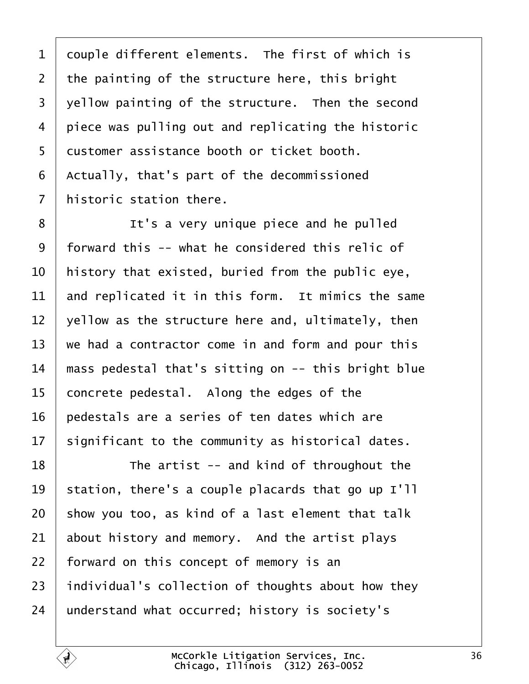<span id="page-35-0"></span>1 douple different elements. The first of which is 2 the painting of the structure here, this bright 3 yellow painting of the structure. Then the second 4 piece was pulling out and replicating the historic 5 dustomer assistance booth or ticket booth. 6 Actually, that's part of the decommissioned 7 historic station there. 8 **I** It's a very unique piece and he pulled

·9· ·forward this -- what he considered this relic of 10 history that existed, buried from the public eye, 11 and replicated it in this form. It mimics the same 12  $\sqrt{2}$  vellow as the structure here and, ultimately, then 13 we had a contractor come in and form and pour this 14 mass pedestal that's sitting on -- this bright blue 15 concrete pedestal. Along the edges of the 16 bedestals are a series of ten dates which are 17 significant to the community as historical dates. 18  $\parallel$  The artist -- and kind of throughout the 19 station, there's a couple placards that go up I'll 20 show you too, as kind of a last element that talk 21 about history and memory. And the artist plays 22 forward on this concept of memory is an 23 individual's collection of thoughts about how they 24 understand what occurred; history is society's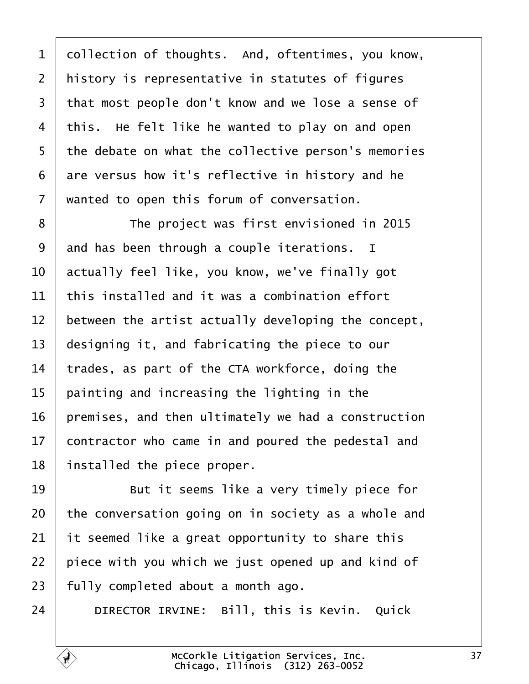<span id="page-36-0"></span>

| 1              | dollection of thoughts. And, oftentimes, you know,  |
|----------------|-----------------------------------------------------|
| $\overline{2}$ | history is representative in statutes of figures    |
| 3              | that most people don't know and we lose a sense of  |
| 4              | this. He felt like he wanted to play on and open    |
| 5              | the debate on what the collective person's memories |
| 6              | are versus how it's reflective in history and he    |
| $\overline{7}$ | wanted to open this forum of conversation.          |
| 8              | The project was first envisioned in 2015            |
| 9              | and has been through a couple iterations. I         |
| 10             | actually feel like, you know, we've finally got     |
| 11             | this installed and it was a combination effort      |
| 12             | between the artist actually developing the concept, |
| 13             | designing it, and fabricating the piece to our      |
| 14             | trades, as part of the CTA workforce, doing the     |
| 15             | painting and increasing the lighting in the         |
| 16             | premises, and then ultimately we had a construction |
| 17             | contractor who came in and poured the pedestal and  |
| 18             | installed the piece proper.                         |
| 19             | But it seems like a very timely piece for           |
| 20             | the conversation going on in society as a whole and |
| 21             | It seemed like a great opportunity to share this    |
| 22             | piece with you which we just opened up and kind of  |
| 23             | fully completed about a month ago.                  |
| 24             | DIRECTOR IRVINE: Bill, this is Kevin. Quick         |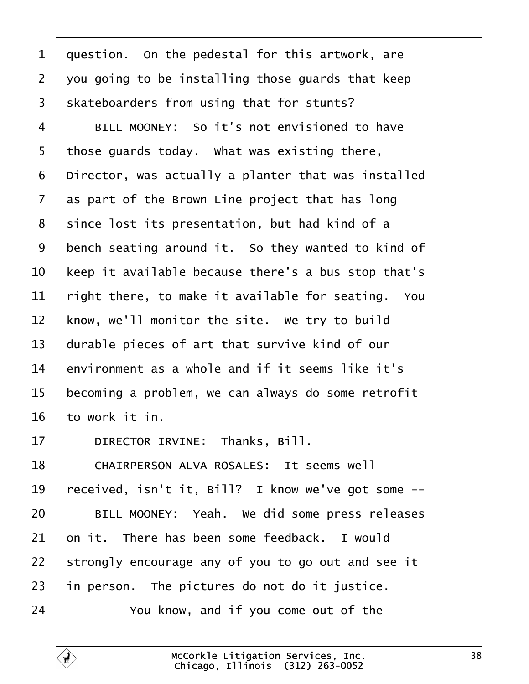<span id="page-37-0"></span>

| 1              | question. On the pedestal for this artwork, are     |
|----------------|-----------------------------------------------------|
| $\overline{2}$ | you going to be installing those guards that keep   |
| 3              | skateboarders from using that for stunts?           |
| 4              | BILL MOONEY: So it's not envisioned to have         |
| 5              | those guards today. What was existing there,        |
| 6              | Director, was actually a planter that was installed |
| $\overline{7}$ | as part of the Brown Line project that has long     |
| 8              | since lost its presentation, but had kind of a      |
| 9              | bench seating around it. So they wanted to kind of  |
| 10             | keep it available because there's a bus stop that's |
| 11             | right there, to make it available for seating. You  |
| 12             | know, we'll monitor the site. We try to build       |
| 13             | durable pieces of art that survive kind of our      |
| 14             | environment as a whole and if it seems like it's    |
| 15             | becoming a problem, we can always do some retrofit  |
| 16             | to work it in.                                      |
| 17             | DIRECTOR IRVINE: Thanks, Bill.                      |
| 18             | CHAIRPERSON ALVA ROSALES: It seems well             |
| 19             | received, isn't it, Bill? I know we've got some --  |
| 20             | BILL MOONEY: Yeah. We did some press releases       |
| 21             | on it. There has been some feedback. I would        |
| 22             | strongly encourage any of you to go out and see it  |
| 23             | in person. The pictures do not do it justice.       |
| 24             | You know, and if you come out of the                |
|                |                                                     |

 $\Gamma$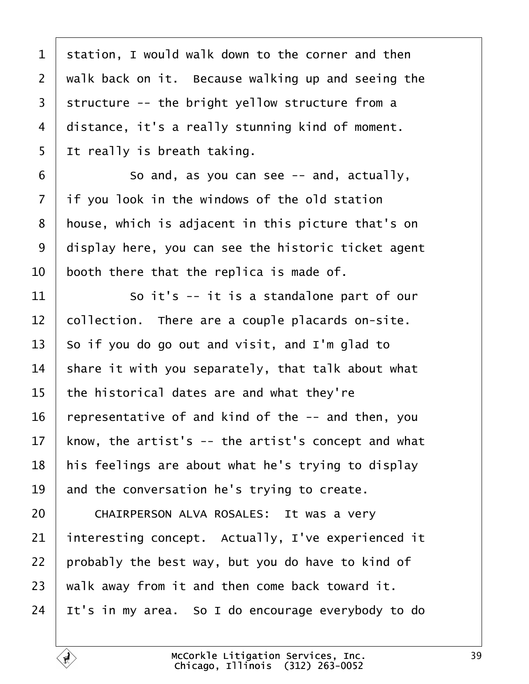<span id="page-38-0"></span>

| 1              | station, I would walk down to the corner and then   |
|----------------|-----------------------------------------------------|
| $\overline{2}$ | walk back on it. Because walking up and seeing the  |
| 3              | structure -- the bright yellow structure from a     |
| 4              | distance, it's a really stunning kind of moment.    |
| 5              | It really is breath taking.                         |
| 6              | So and, as you can see -- and, actually,            |
| $\overline{7}$ | if you look in the windows of the old station       |
| 8              | house, which is adjacent in this picture that's on  |
| 9              | display here, you can see the historic ticket agent |
| 10             | booth there that the replica is made of.            |
| 11             | So it's -- it is a standalone part of our           |
| $12 \,$        | collection. There are a couple placards on-site.    |
| 13             | So if you do go out and visit, and I'm glad to      |
| 14             | share it with you separately, that talk about what  |
| 15             | the historical dates are and what they're           |
| 16             | representative of and kind of the -- and then, you  |
| 17             | know, the artist's -- the artist's concept and what |
| 18             | his feelings are about what he's trying to display  |
| 19             | and the conversation he's trying to create.         |
| 20             | CHAIRPERSON ALVA ROSALES: It was a very             |
| 21             | interesting concept. Actually, I've experienced it  |
| 22             | probably the best way, but you do have to kind of   |
| 23             | walk away from it and then come back toward it.     |
| 24             | It's in my area. So I do encourage everybody to do  |
|                |                                                     |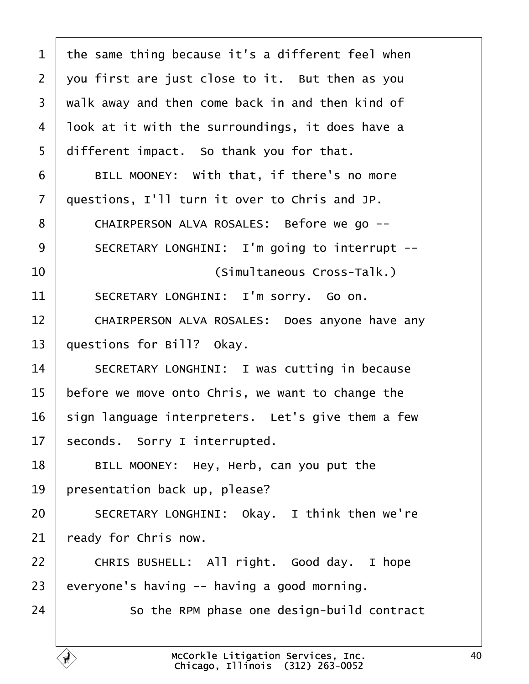<span id="page-39-0"></span>

| 1              | the same thing because it's a different feel when |
|----------------|---------------------------------------------------|
| $\overline{2}$ | you first are just close to it. But then as you   |
| 3              | walk away and then come back in and then kind of  |
| 4              | look at it with the surroundings, it does have a  |
| 5              | different impact. So thank you for that.          |
| 6              | BILL MOONEY: With that, if there's no more        |
| $\overline{7}$ | questions, I'll turn it over to Chris and JP.     |
| 8              | CHAIRPERSON ALVA ROSALES: Before we go --         |
| 9              | SECRETARY LONGHINI: I'm going to interrupt --     |
| 10             | (Simultaneous Cross-Talk.)                        |
| 11             | SECRETARY LONGHINI: I'm sorry. Go on.             |
| 12             | CHAIRPERSON ALVA ROSALES: Does anyone have any    |
| 13             | questions for Bill? Okay.                         |
| 14             | SECRETARY LONGHINI: I was cutting in because      |
| 15             | before we move onto Chris, we want to change the  |
| 16             | sign language interpreters. Let's give them a few |
| 17             | seconds. Sorry I interrupted.                     |
| 18             | BILL MOONEY: Hey, Herb, can you put the           |
| 19             | presentation back up, please?                     |
| 20             | SECRETARY LONGHINI: Okay. I think then we're      |
| 21             | ready for Chris now.                              |
| 22             | CHRIS BUSHELL: All right. Good day. I hope        |
| 23             | everyone's having -- having a good morning.       |
| 24             | So the RPM phase one design-build contract        |
|                |                                                   |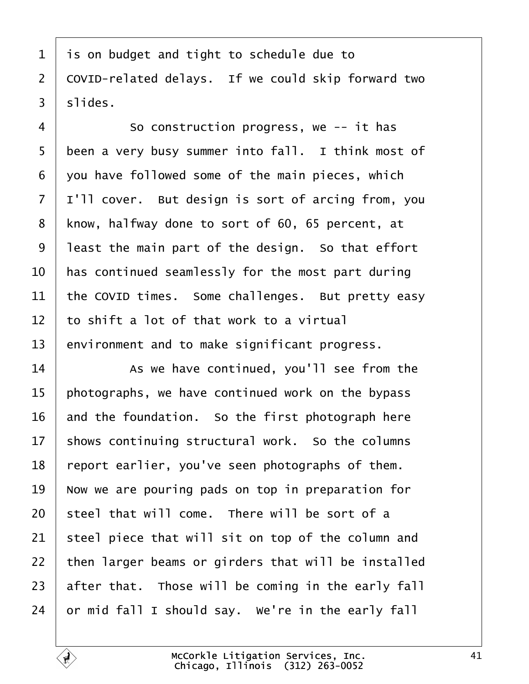<span id="page-40-0"></span>

| 1              | is on budget and tight to schedule due to           |
|----------------|-----------------------------------------------------|
| $\overline{2}$ | COVID-related delays. If we could skip forward two  |
| 3              | slides.                                             |
| 4              | So construction progress, we -- it has              |
| 5              | been a very busy summer into fall. I think most of  |
| 6              | you have followed some of the main pieces, which    |
| $\overline{7}$ | I'll cover. But design is sort of arcing from, you  |
| 8              | know, halfway done to sort of 60, 65 percent, at    |
| 9              | least the main part of the design. So that effort   |
| 10             | has continued seamlessly for the most part during   |
| 11             | the COVID times. Some challenges. But pretty easy   |
| 12             | to shift a lot of that work to a virtual            |
| 13             | environment and to make significant progress.       |
| 14             | As we have continued, you'll see from the           |
| 15             | photographs, we have continued work on the bypass   |
| 16             | and the foundation. So the first photograph here    |
| 17             | shows continuing structural work. So the columns    |
| 18             | report earlier, you've seen photographs of them.    |
| 19             | Now we are pouring pads on top in preparation for   |
| 20             | steel that will come. There will be sort of a       |
| 21             | steel piece that will sit on top of the column and  |
| 22             | then larger beams or girders that will be installed |
| 23             | after that. Those will be coming in the early fall  |
| 24             | or mid fall I should say. We're in the early fall   |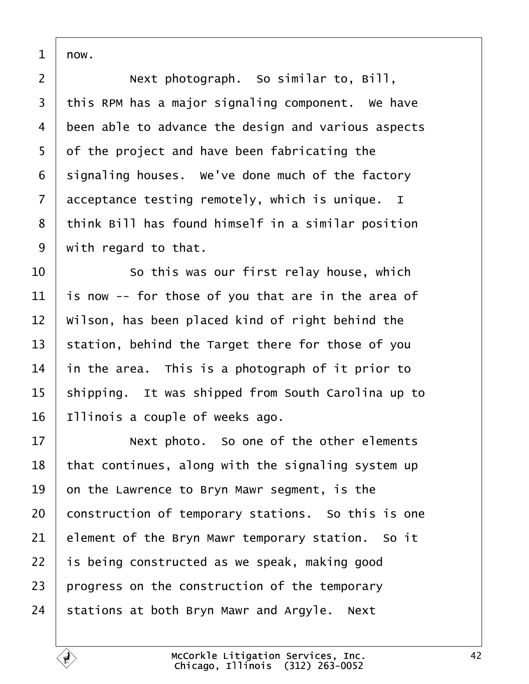<span id="page-41-0"></span> $1$   $now.$ 

2 | Next photograph. So similar to, Bill, 3 this RPM has a major signaling component. We have 4 been able to advance the design and various aspects 5 of the project and have been fabricating the 6 signaling houses. We've done much of the factory 7 acceptance testing remotely, which is unique. I 8 think Bill has found himself in a similar position 9 with regard to that. 10 **So this was our first relay house, which** 11 is now -- for those of you that are in the area of 12 Wilson, has been placed kind of right behind the 13 station, behind the Target there for those of you 14 in the area. This is a photograph of it prior to 15 shipping. It was shipped from South Carolina up to 16 Illinois a couple of weeks ago. 17 **Next photo.** So one of the other elements 18 that continues, along with the signaling system up 19 on the Lawrence to Bryn Mawr segment, is the 20 construction of temporary stations. So this is one 21 element of the Bryn Mawr temporary station. So it 22 is being constructed as we speak, making good 23 progress on the construction of the temporary 24 stations at both Bryn Mawr and Argyle. Next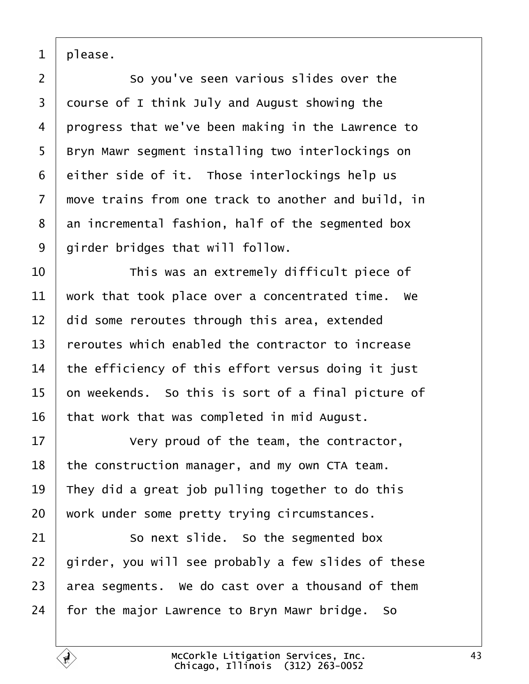<span id="page-42-0"></span>1 please.

2 **So you've seen various slides over the** 3 dourse of I think July and August showing the 4 progress that we've been making in the Lawrence to 5 Bryn Mawr segment installing two interlockings on 6 either side of it. Those interlockings help us 7 move trains from one track to another and build, in 8 an incremental fashion, half of the segmented box 9 dirder bridges that will follow. 10 **This was an extremely difficult piece of** 11 work that took place over a concentrated time. We 12 did some reroutes through this area, extended 13 feroutes which enabled the contractor to increase 14 the efficiency of this effort versus doing it just 15 on weekends. So this is sort of a final picture of 16 that work that was completed in mid August.  $17$   $\phantom{0}$  Very proud of the team, the contractor, 18 the construction manager, and my own CTA team. 19 They did a great job pulling together to do this 20 work under some pretty trying circumstances. 21 **So next slide.** So the segmented box 22 girder, you will see probably a few slides of these 23 area segments. We do cast over a thousand of them 24 for the major Lawrence to Bryn Mawr bridge. So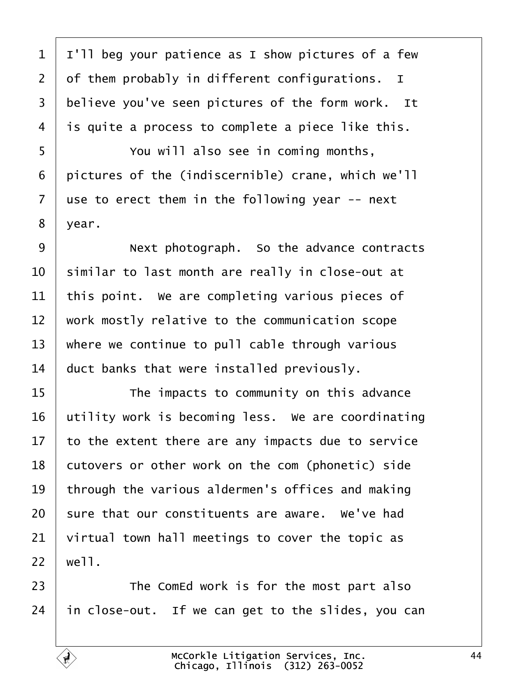<span id="page-43-0"></span>1 I'll beg your patience as I show pictures of a few 2 of them probably in different configurations. I 3 believe you've seen pictures of the form work. It 4 is quite a process to complete a piece like this. 5 **• • You will also see in coming months,** 6 pictures of the (indiscernible) crane, which we'll 7 use to erect them in the following year -- next 8 vear. 9 | Next photograph. So the advance contracts 10 similar to last month are really in close-out at 11 this point. We are completing various pieces of 12 work mostly relative to the communication scope 13 where we continue to pull cable through various 14 duct banks that were installed previously. 15 **The impacts to community on this advance** 16 utility work is becoming less. We are coordinating 17 to the extent there are any impacts due to service 18 butovers or other work on the com (phonetic) side 19 through the various aldermen's offices and making 20 sure that our constituents are aware. We've had  $21$  virtual town hall meetings to cover the topic as  $22$  well. 23 **The ComEd work is for the most part also** 24 in close-out. If we can get to the slides, you can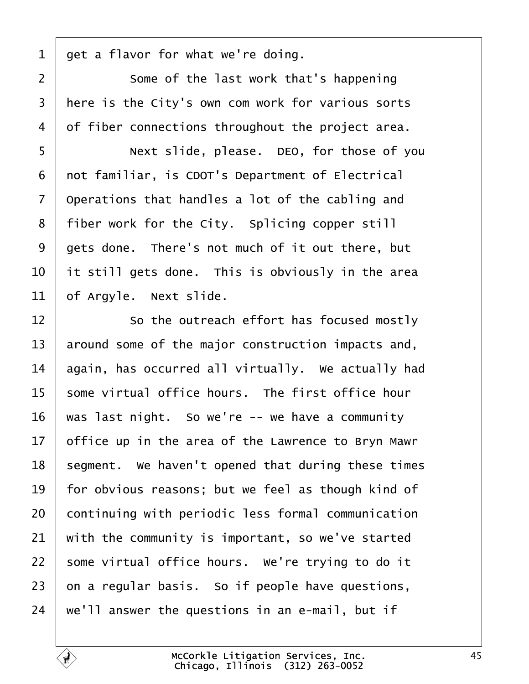<span id="page-44-0"></span>1 get a flavor for what we're doing.

2 **Some of the last work that's happening** 3 Here is the City's own com work for various sorts 4 of fiber connections throughout the project area. 5 | Next slide, please. DEO, for those of you 6 not familiar, is CDOT's Department of Electrical 7 Operations that handles a lot of the cabling and 8 fiber work for the City. Splicing copper still 9 dets done. There's not much of it out there, but 10 it still gets done. This is obviously in the area 11 **bet Argyle.** Next slide. 12 **So the outreach effort has focused mostly** 13 around some of the major construction impacts and, 14 bagain, has occurred all virtually. We actually had 15 some virtual office hours. The first office hour 16 was last night. So we're -- we have a community 17 biffice up in the area of the Lawrence to Bryn Mawr 18 segment. We haven't opened that during these times 19 for obvious reasons; but we feel as though kind of 20 continuing with periodic less formal communication 21 with the community is important, so we've started 22 some virtual office hours. We're trying to do it  $23$  on a regular basis. So if people have questions, 24 we'll answer the questions in an e-mail, but if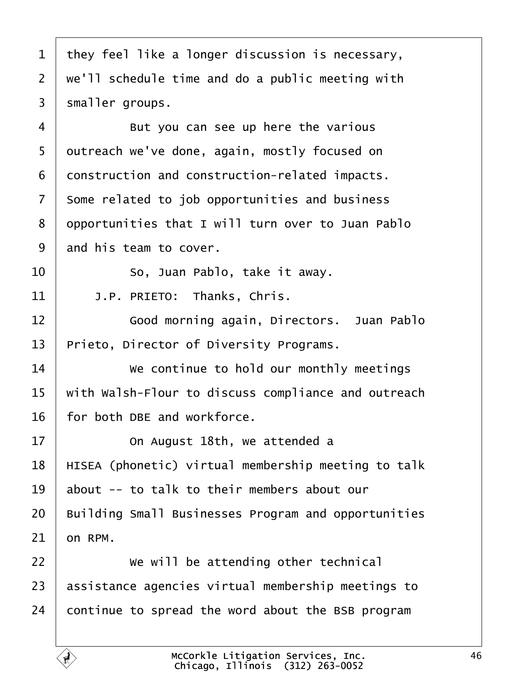<span id="page-45-0"></span>

| $\mathbf 1$    | they feel like a longer discussion is necessary,           |
|----------------|------------------------------------------------------------|
| $\overline{2}$ | we'll schedule time and do a public meeting with           |
| 3              | smaller groups.                                            |
| 4              | But you can see up here the various                        |
| 5              | dutreach we've done, again, mostly focused on              |
| 6              | donstruction and construction-related impacts.             |
| 7              | Some related to job opportunities and business             |
| 8              | opportunities that I will turn over to Juan Pablo          |
| 9              | and his team to cover.                                     |
| 10             | So, Juan Pablo, take it away.                              |
| 11             | J.P. PRIETO: Thanks, Chris.                                |
| 12             | Good morning again, Directors. Juan Pablo                  |
| 13             | Prieto, Director of Diversity Programs.                    |
| 14             | We continue to hold our monthly meetings                   |
| 15             | with Walsh-Flour to discuss compliance and outreach        |
| 16             | for both DBE and workforce.                                |
| 17             | On August 18th, we attended a                              |
| 18             | HISEA (phonetic) virtual membership meeting to talk        |
| 19             | about -- to talk to their members about our                |
| 20             | <b>Building Small Businesses Program and opportunities</b> |
| 21             | on RPM.                                                    |
| 22             | We will be attending other technical                       |
| 23             | assistance agencies virtual membership meetings to         |
| 24             | continue to spread the word about the BSB program          |
|                |                                                            |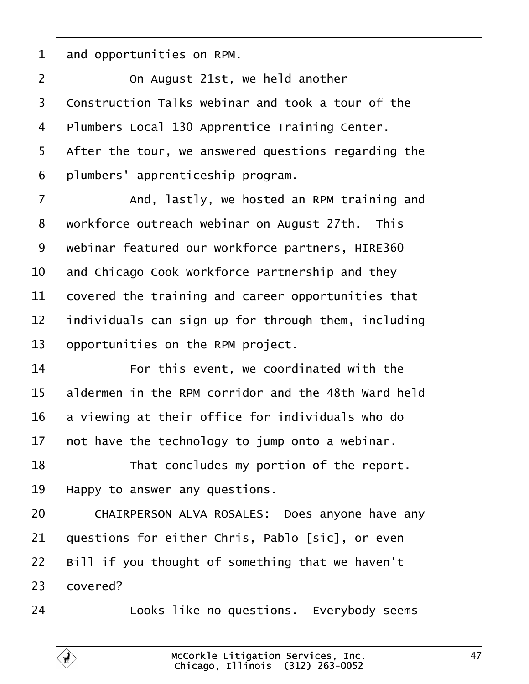<span id="page-46-0"></span>1 and opportunities on RPM. 2 **Comediat** 21st, we held another 3 Construction Talks webinar and took a tour of the 4 Plumbers Local 130 Apprentice Training Center. 5 After the tour, we answered questions regarding the 6 plumbers' apprenticeship program. 7 **And, lastly, we hosted an RPM training and** 8 workforce outreach webinar on August 27th. This 9 webinar featured our workforce partners, HIRE360 10 and Chicago Cook Workforce Partnership and they 11 covered the training and career opportunities that 12 individuals can sign up for through them, including 13 **opportunities on the RPM project.**  $14$   $\parallel$  • For this event, we coordinated with the 15 aldermen in the RPM corridor and the 48th Ward held 16 a viewing at their office for individuals who do 17 hot have the technology to jump onto a webinar. 18 **That concludes my portion of the report.** 19 Happy to answer any questions. 20 | CHAIRPERSON ALVA ROSALES: Does anyone have any 21 guestions for either Chris, Pablo [sic], or even 22 Bill if you thought of something that we haven't 23 covered? 24 **Looks like no questions.** Everybody seems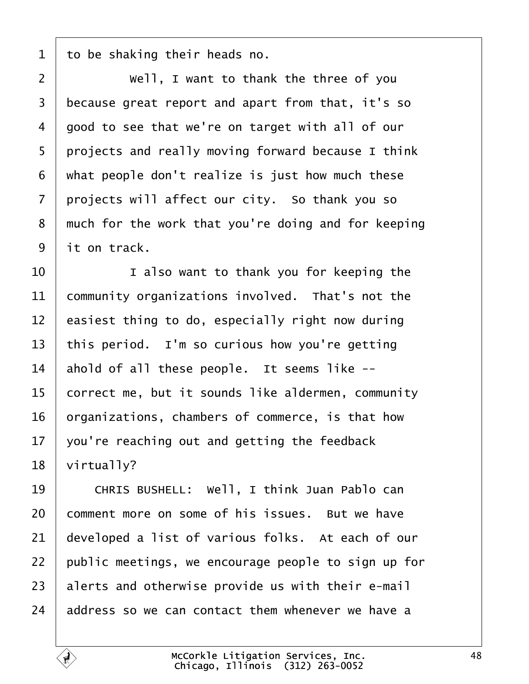1 to be shaking their heads no.  $2 \mid$  Well, I want to thank the three of you 3 because great report and apart from that, it's so 4 good to see that we're on target with all of our 5 projects and really moving forward because I think 6 what people don't realize is just how much these 7 projects will affect our city. So thank you so 8 much for the work that you're doing and for keeping 9 it on track. 10 **I** is also want to thank you for keeping the 11 **Community organizations involved.** That's not the 12 easiest thing to do, especially right now during 13 this period. I'm so curious how you're getting 14 ahold of all these people. It seems like --15 correct me, but it sounds like aldermen, community 16 brganizations, chambers of commerce, is that how 17  $\sqrt{2}$  vou're reaching out and getting the feedback 18 virtually? 19 | CHRIS BUSHELL: Well, I think Juan Pablo can 20 comment more on some of his issues. But we have 21 developed a list of various folks. At each of our 22 public meetings, we encourage people to sign up for 23 alerts and otherwise provide us with their e-mail 24 address so we can contact them whenever we have a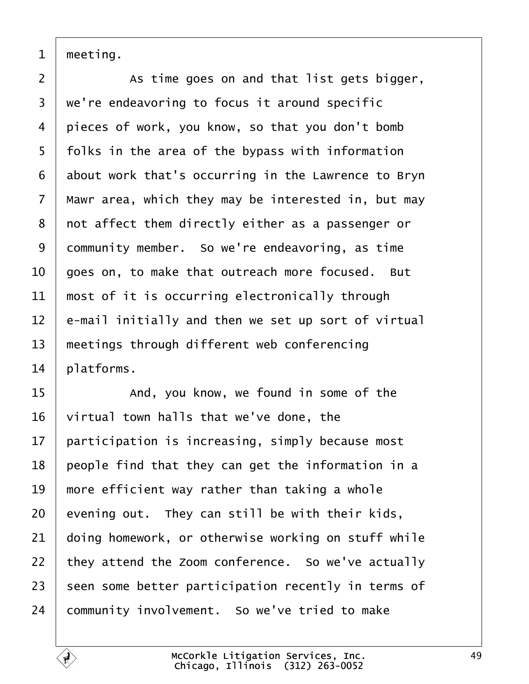1 meeting.

 $2 \mid$  As time goes on and that list gets bigger, 3 we're endeavoring to focus it around specific 4 pieces of work, you know, so that you don't bomb 5 folks in the area of the bypass with information 6 about work that's occurring in the Lawrence to Bryn 7 Mawr area, which they may be interested in, but may 8 not affect them directly either as a passenger or 9 dommunity member. So we're endeavoring, as time 10 goes on, to make that outreach more focused. But 11 most of it is occurring electronically through 12  $\,$  e-mail initially and then we set up sort of virtual 13 meetings through different web conferencing 14 blatforms. 15 **And, you know, we found in some of the** 16  $\sqrt{ }$  virtual town halls that we've done, the 17 participation is increasing, simply because most 18 people find that they can get the information in a 19 more efficient way rather than taking a whole 20 evening out. They can still be with their kids, 21 doing homework, or otherwise working on stuff while 22 they attend the Zoom conference. So we've actually 23 seen some better participation recently in terms of 24 community involvement. So we've tried to make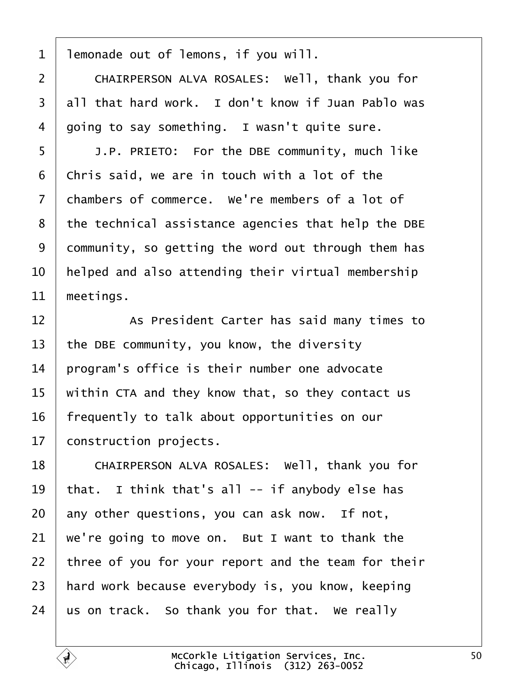1 lemonade out of lemons, if you will. 2 | CHAIRPERSON ALVA ROSALES: Well, thank you for 3 all that hard work. I don't know if Juan Pablo was 4 going to say something. I wasn't quite sure. 5 | J.P. PRIETO: For the DBE community, much like 6 Chris said, we are in touch with a lot of the 7 chambers of commerce. We're members of a lot of 8 the technical assistance agencies that help the DBE 9 dommunity, so getting the word out through them has 10 helped and also attending their virtual membership 11 meetings. 12 As President Carter has said many times to 13 the DBE community, you know, the diversity 14 program's office is their number one advocate 15 within CTA and they know that, so they contact us 16 frequently to talk about opportunities on our 17 **construction projects.** 18 | CHAIRPERSON ALVA ROSALES: Well, thank you for 19  $\frac{1}{2}$  that. I think that's all -- if anybody else has 20 any other questions, you can ask now. If not, 21 we're going to move on. But I want to thank the 22 three of you for your report and the team for their 23 hard work because everybody is, you know, keeping  $24$  us on track. So thank you for that. We really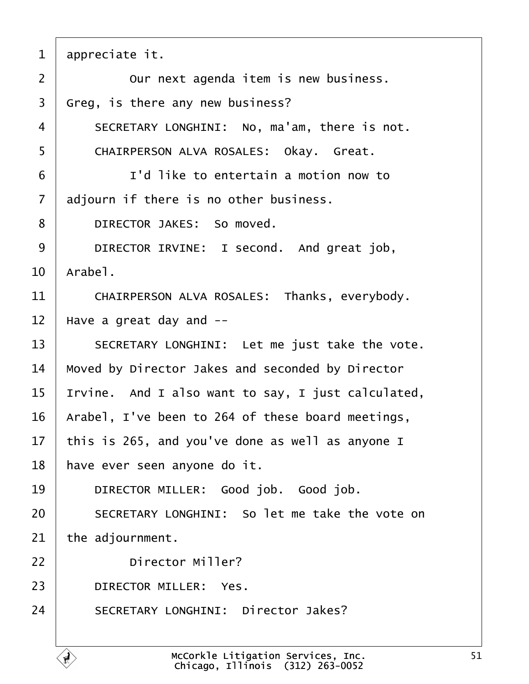| $\mathbf 1$    | appreciate it.                                    |
|----------------|---------------------------------------------------|
| $\overline{2}$ | Our next agenda item is new business.             |
| 3              | Greg, is there any new business?                  |
| 4              | SECRETARY LONGHINI: No, ma'am, there is not.      |
| 5              | CHAIRPERSON ALVA ROSALES: Okay. Great.            |
| 6              | I'd like to entertain a motion now to             |
| $\overline{7}$ | adjourn if there is no other business.            |
| 8              | DIRECTOR JAKES: So moved.                         |
| 9              | DIRECTOR IRVINE: I second. And great job,         |
| 10             | Arabel.                                           |
| 11             | CHAIRPERSON ALVA ROSALES: Thanks, everybody.      |
| 12             | Have a great day and --                           |
| 13             | SECRETARY LONGHINI: Let me just take the vote.    |
| 14             | Moved by Director Jakes and seconded by Director  |
| 15             | rvine. And I also want to say, I just calculated, |
| 16             | Arabel, I've been to 264 of these board meetings, |
| 17             | this is 265, and you've done as well as anyone I  |
| 18             | have ever seen anyone do it.                      |
| 19             | DIRECTOR MILLER: Good job. Good job.              |
| 20             | SECRETARY LONGHINI: So let me take the vote on    |
| 21             | the adjournment.                                  |
| 22             | <b>Director Miller?</b>                           |
| 23             | <b>DIRECTOR MILLER: Yes.</b>                      |
| 24             | <b>SECRETARY LONGHINI: Director Jakes?</b>        |
|                |                                                   |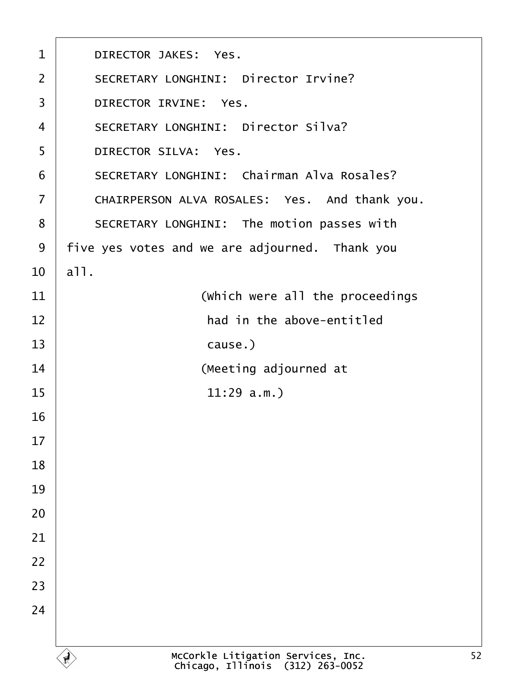| 1              | DIRECTOR JAKES: Yes.                              |
|----------------|---------------------------------------------------|
| $\overline{2}$ | <b>SECRETARY LONGHINI: Director Irvine?</b>       |
| 3              | <b>DIRECTOR IRVINE: Yes.</b>                      |
| 4              | <b>SECRETARY LONGHINI: Director Silva?</b>        |
| 5              | <b>DIRECTOR SILVA: Yes.</b>                       |
| 6              | <b>SECRETARY LONGHINI: Chairman Alva Rosales?</b> |
| 7              | CHAIRPERSON ALVA ROSALES: Yes. And thank you.     |
| 8              | SECRETARY LONGHINI: The motion passes with        |
| 9              | five yes votes and we are adjourned. Thank you    |
| 10             | all.                                              |
| 11             | (Which were all the proceedings                   |
| 12             | had in the above-entitled                         |
| 13             | cause.)                                           |
| 14             | (Meeting adjourned at                             |
| 15             | $11:29$ a.m.)                                     |
| 16             |                                                   |
| 17             |                                                   |
| 18             |                                                   |
| 19             |                                                   |
| 20             |                                                   |
| 21             |                                                   |
| 22             |                                                   |
| 23             |                                                   |
| 24             |                                                   |
|                |                                                   |

 $\Gamma$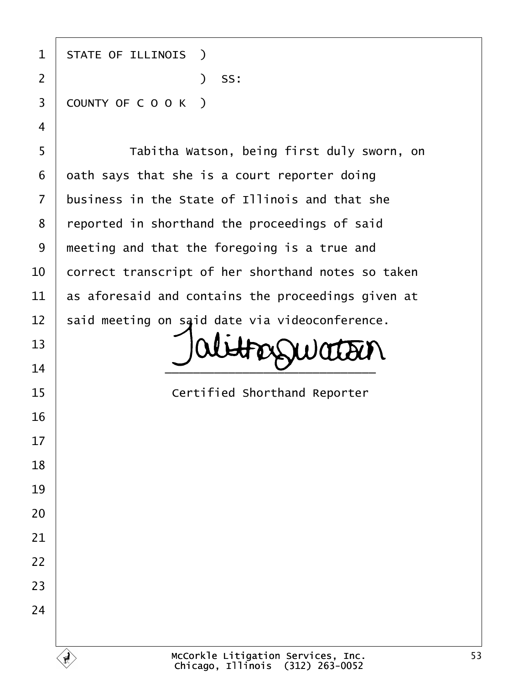| 1                       | <b>STATE OF ILLINOIS</b> )                         |
|-------------------------|----------------------------------------------------|
| $\overline{2}$          | ) SS:                                              |
| 3                       | COUNTY OF COOK)                                    |
| $\overline{\mathbf{4}}$ |                                                    |
| 5                       | Tabitha Watson, being first duly sworn, on         |
| 6                       | dath says that she is a court reporter doing       |
| $\overline{7}$          | business in the State of Illinois and that she     |
| 8                       | reported in shorthand the proceedings of said      |
| 9                       | meeting and that the foregoing is a true and       |
| 10                      | correct transcript of her shorthand notes so taken |
| 11                      | as aforesaid and contains the proceedings given at |
| 12                      | said meeting on said date via videoconference.     |
| 13                      |                                                    |
| 14                      |                                                    |
| 15                      | <b>Certified Shorthand Reporter</b>                |
| 16                      |                                                    |
| 17                      |                                                    |
| 18                      |                                                    |
| 19                      |                                                    |
| 20                      |                                                    |
| 21                      |                                                    |
| 22                      |                                                    |
| 23                      |                                                    |
| 24                      |                                                    |
|                         |                                                    |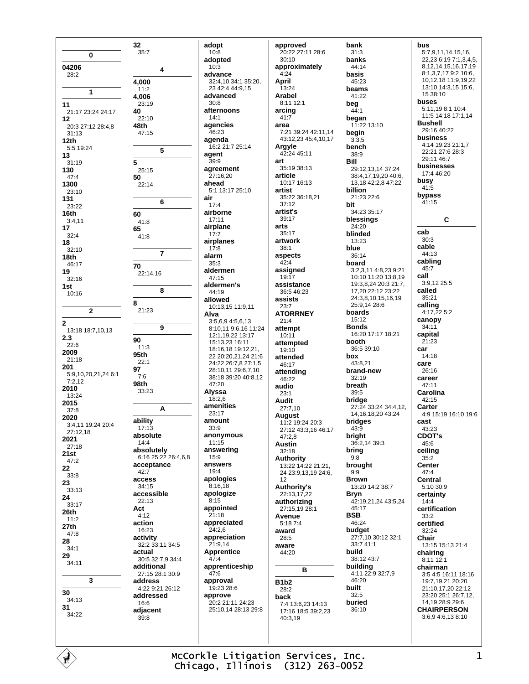$\mathbf{0}$ 04206  $28:2$ 1  $11$ 21:17 23:24 24:17  $12$ 20:3 27:12 28:4.8  $31.13$  $12th$ 5:5 19:24 13  $31.1c$ 130  $47.4$ 1300  $23:10$ 131  $23.22$ 16th  $3:4,11$  $17$  $32:4$ 18  $32.10$ 18th 46:17 19  $32:16$ 1st 10:16  $\overline{2}$  $\mathbf 2$ 13:18 18:7,10,13  $2.3$  $22.6$ 2009  $21:18$ 201 5:9,10,20,21,24 6:1  $7:2,12$  $2010$ 13:24 2015  $37:8$ 2020 3:4,11 19:24 20:4  $27.1218$ 2021  $27:18$  $21st$  $47:2$  $22$  $33:8$ 23  $33:13$ 24  $33:17$  $26<sub>th</sub>$  $11:2$  $27th$ 47:8 28  $34:1$ 29  $34:11$ 3 30  $34:13$  $31$  $34.22$ 

32

 $35:7$ 

4,000

4.006

40

5

50

60

65

70

8

90

 $11:3$ 

 $22:1$ 

 $7.6$ 

98th

 $33.23$ 

ability

17:13

 $14:4$ 

 $42:7$ 

access

 $34:15$ 

 $22:13$ 

 $4:12$ 

action

 $16.23$ 

activity

actual

additional

addressed

address

 $16.6$ 

 $39:8$ 

adjacent

Act

accessible

absolute

absolutely

acceptance

95th

97

21:23

 $41:8$ 

 $41.8$ 

22:14,16

48th

 $11.2$ 

23:19

 $22.10$ 

 $47.15$ 

 $25:15$ 

 $22:14$ 

 $\blacktriangle$ 

5

6

 $\overline{7}$ 

8

 $\boldsymbol{9}$ 

A

adopt  $10:8$ adopted  $10.3$ advance 32:4,10 34:1 35:20, 23 42 4 44 9 15 advanced  $30.8$ afternoons  $14.1$ agencies 46:23 agenda 16:2 21:7 25:14 agent  $\overline{3}0.0$ agreement 27:16,20 ahead  $5:1$  13:17 25:10 air  $17:4$ airborne  $17:11$ airplane  $17:7$ airplanes  $17:8$ alarm  $35:3$ aldermen  $47.15$ aldermen's 44:19 allowed 10:13.15 11:9.11 Alva 3:5,6,9 4:5,6,13 8:10,11 9:6,16 11:24 12:1,19,22 13:17 15:13,23 16:11 18:16.18 19:12.21 22 20:20,21,24 21:6 24:22 26:7.8 27:1.5 28:10 11 29:6 7 10 38:18 39:20 40:8,12  $47.20$ Alyssa  $18:2,6$ amenities  $23:17$ amount  $33.9$ anonymous  $11:15$ answering  $6:1625:2226:468$  $15.9$ answers  $19:4$ apologies 8:16.18 apologize  $8.15$ appointed  $21:18$ appreciated  $24:2.6$ appreciation 32:2 33:11 34:5 21:9,14 **Apprentice** 30:5 32:7.9 34:4  $47.4$ apprenticeship 27:15 28:1 30:9  $47.6$ approval 19:23 28:6 4:22 9:21 26:12 approve 20:2 21:11 24:23 25:10,14 28:13 29:8

approved 20:22 27:11 28:6  $30:10$ approximately  $4:24$ April 13:24 Arabel  $8.1112.1$ arcing  $41.7$ area 7:21 39:24 42:11,14 43:12,23 45:4,10,17 Argyle 42:24 45:11 art  $35.19.38.13$ article 10:17 16:13 artist 35:22 36:18,21  $37.12$ artist's  $39:17$ arts 35:17 artwork  $38:1$ aspects  $42:4$ assigned  $19.17$ assistance 36:5 46:23 assists  $23:7$ **ATORRNEY**  $21:4$ attempt  $10:11$ attempted  $19.10$ attended 46:17 attending 46:22 audio  $23.1$ **Audit** 27:7,10 **August**  $11.2$  19:24 20:3 27:12 43:3.16 46:17  $47.2R$ **Austin**  $32:18$ **Authority** 13:22 14:22 21:21, 24 23:9.13.19 24:6. 12 **Authority's** 22:13,17,22 authorizing 27:15,19 28:1 **Avenue**  $5.1874$ award 28:5 aware 44:20 B **B1b2**  $28:2$ back 7:4 13:6,23 14:13 17:16 18:5 39:2,23 40:3,19

bank  $31:3$ banks  $44.14$ hasis  $45.23$ beams 41:22 beq  $44.1$ began 11:22 13:10 begin  $3:3.5$ bench 38:9 Rill 29:12.13.14 37:24 38:4,17,19,20 40:6, 13, 18 42: 2, 8 47: 22 billion  $21.23226$ bit 34:23 35:17 blessings  $24.20$ blinded  $13:23$ blue  $36.14$ board 3:2,3,11 4:8,23 9:21 10:10 11:20 13:8.19 19:3.8.24 20:3 21:7. 17.20 22:12 23:22 24:3,8,10,15,16,19 25.9.14.28.6 boards 15:12 **Bonds** 16:20 17:17 18:21 booth 36:5 39:10 box 43:8.21 brand-new  $32:19$ breath  $39.5$ bridge 27:24 33:24 34:4,12, 14.16.18.20 43:24 bridges  $43:9$ **bright** 36:2,14 39:3 bring  $9:8$ brought  $9:9$ **Brown** 13:20 14:2 38:7 Bryn 42:19,21,24 43:5,24 45:17 **BSB** 46:24 budget 27:7,10 30:12 32:1 33:7 41:1 build 38:12 43:7 building  $4.11$   $22.9$   $32.7$  9  $46.20$ built  $32:5$ buried  $36:10$ 

bus 5:7,9,11,14,15,16, 22,23 6:19 7:1,3,4,5, 8, 12, 14, 15, 16, 17, 19 8:1,3,7,17 9:2 10:6, 10, 12, 18 11: 9, 19, 22 13:10 14:3,15 15:6,  $15.38:10$ buses  $5:11198:1104$ 11:5 14:18 17:1.14 **Bushell** 29:16 40:22 business 4:14 19:23 21:1 7 22:21 27:6 28:3 29:11 46:7 businesses 17:4 46:20 busy  $41:5$ bypass  $41:15$ C cab  $30:3$ cable 44:13 cabling  $45:7$ call 3:9,12 25:5 called  $35.21$ calling 4:17,22 5:2 canopy  $34.11$ capital 21:23 car  $14:18$ care  $26.16$ career 47:11 Carolina  $42:15$ Carter 4:9 15:19 16:10 19:6 cast 43:23 **CDOT's**  $45.6$ ceiling  $35.2$ Center  $47:4$ Central  $5.10309$ certainty  $14.4$ certification  $33.2$ certified  $32.24$ Chair 13:15 15:13 21:4 chairing  $8:11$  12:1 chairman 3:5 4:5 16:11 18:16 19:7,19,21 20:20 21:10,17,20 22:12 23:20 25:1 26:7,12, 14,19 28:9 29:6 **CHAIRPERSON** 3:6,9 4:6,13 8:10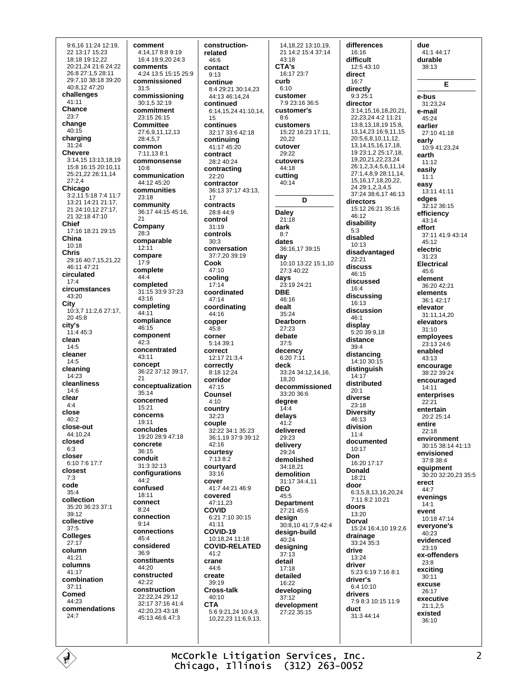9:6.16 11:24 12:19. 22 13:17 15:23 18:18 19:12.22 20:21,24 21:6 24:22 26:8 27:1,5 28:11 29:7,10 38:18 39:20 40:8,12 47:20 challenges 41:11 Chance  $23:7$ change  $40:15$ charging  $31:24$ **Chevere** 3:14,15 13:13,18,19 15:8 16:15 20:10,11 25:21.22 26:11.14  $27.24$ Chicago 3:2.11 5:18 7:4 11:7 13:21 14:21 21:17, 21 24:10,12 27:17, 21 32:18 47:10 Chief 17:16 18:21 29:15 China  $10.18$ **Chris** 29:16 40:7.15.21.22 46:11 47:21 circulated  $17.4$ circumstances 43:20 City 10:3.7 11:2.6 27:17.  $20.45.8$ city's 11:4 45:3 clean  $14:5$ cleaner  $14.5$ cleaning 14:23 cleanliness  $14:6$ clear  $4:4$ close  $40:2$ close-out 44:10.24 closed  $6:3$ closer 6:10 7:6 17:7 closest  $7.3$ code  $35:4$ collection 35:20 36:23 37:1  $39.12$ collective  $37:5$ **Colleges**  $27:17$ column  $41.21$ columns 41:17 combination  $37:11$ Comed 44:23 commendations  $24.7$ 

comment 4:14,17 8:8 9:19 16:4 19:9.20 24:3 comments 4:24 13:5 15:15 25:9 commissioned  $31:5$ commissioning 30:1,5 32:19 commitment  $23.15.26.15$ **Committee** 27:6,9,11,12,13 28:4.5.7 common 7:11.13 8:1 **commonsense**  $10.8$ communication 44:12 45:20 communities  $23.18$ community 36:17 44:15 45:16,  $21$ Company  $28:3$ comparable 12:11 compare 17:9 complete  $44.4$ completed 31:15 33:9 37:23  $43:16$ completing  $44.11$ compliance  $46.15$ component  $42:3$ concentrated  $43.11$ concept 36:22 37:12 39:17,  $21$ conceptualization  $35.14$ concerned 15:21 concerns  $19.11$ concludes 19:20 28:9 47:18 concrete 36:15 conduit 31:3 32:13 configurations  $44.2$ confused 18:11 connect  $8.24$ connection  $9:14$ connections 45:4 considered  $36.9$ constituents 44:20 constructed  $42:22$ construction 22:22,24 29:12 32:17 37:16 41:4 42:20,23 43:18 45:13 46:6 47:3

constructionrelated  $46.6$ contact  $9.13$ continue 8:4 29:21 30:14,23 44:13 46:14,24 continued 6:14,15,24 41:10,14,  $15$ continues 32:17 33:6 42:18 continuing  $41.1745.20$ contract 28:2 40:24 contracting  $22.20$ contractor 36:13 37:17 43:13, 17 contracts 28.8.44.9 control  $31.19$ controls  $30.3$ conversation 37:7,20 39:19 Cook  $47.10$ cooling  $17:14$ coordinated  $47.14$ coordinating 44:16 copper 45:8 corner  $5.14.39.1$ correct 12:17 21:3,4 correctly 8:18 12:24 corridor  $47.15$ **Counsel**  $4:10$ country  $32:23$ couple 32:22 34:1 35:23 36:1,19 37:9 39:12  $42:16$ courtesy  $7.13.8.2$ courtyard  $33:16$ cover 41:7 44:21 46:9 covered 47:11.23 COVID 6:21 7:10 30:15 41:11 COVID-19 10:18,24 11:18 **COVID-RELATED**  $41:2$ crane  $44:6$ create  $39.19$ **Cross-talk**  $40:10$ **CTA** 5:6 9:21,24 10:4,9, 10,22,23 11:6,9,13,

14.18.22 13:10.19. 21 14:2 15:4 37:14 43:18 CTA's 16:17 23:7 curb  $6:10$ customer 7:9 23:16 36:5 customer's  $R \cdot R$ customers 15:22 16:23 17:11, 20,22 cutover 29:22 cutovers  $44.18$ cutting 40:14 D **Daley**  $21.18$ dark  $8:7$ dates 36:16,17 39:15 day  $10:10$  13:22 15:1 10  $27.340.22$ days 23:19 24:21 **DBE**  $46.16$ dealt  $35.24$ **Dearborn** 27:23 debate  $37.5$ decency 6:20 7:11 deck 33:24 34:12,14,16, 18.20 decommissioned 33:20 36:6 degree  $14:4$ delays  $41:2$ delivered 29:23 delivery 29:24 demolished  $34.1821$ demolition 31:17 34:4,11 **DEO**  $45.5$ **Department**  $27:2145:6$ design 30:8.10 41:7.9 42:4 design-build  $40.24$ designing  $37.13$ detail  $17.18$ detailed 16:22 developing  $37:12$ development  $27.22.35.15$ 

differences 16:16 difficult  $12:543:10$ direct  $16.7$ directly  $9:325:1$ director 3:14 15 16 18 20 21  $22.23$   $24.4.2$   $11.21$ 13:8,13,18,19 15:8 13 14 23 16 9 11 15 20:5,6,8,10,11,12, 13, 14, 15, 16, 17, 18, 19 23:1,2 25:17,18, 19,20,21,22,23,24 26:1,2,3,4,5,6,11,14 27:1,4,8,9 28:11,14, 15, 16, 17, 18, 20, 22, 24 29:1,2,3,4,5 37:24 38:6,17 46:13 directors 15:12 26:21 35:16 46:12 disability  $5:3$ disabled  $10:13$ disadvantaged 22:21 discuss  $46.15$ discussed  $16.4$ discussing 16:13 discussion  $46.1$ display  $5:20.399918$ distance  $39.4$ distancing  $14.10.30.15$ distinguish 14:17 distributed  $20:1$ diverse 23:18 **Diversity** 46:13 division  $11:4$ documented  $10:17$ Don 16:20 17:17 **Donald**  $18.21$ door 6:3,5,8,13,16,20,24 7:11 8:2 10:21 doors  $13:20$ Dorval 15:24 16:4,10 19:2,6 drainage 33:24 35:3 drive  $13.24$ driver 5:23 6:19 7:16 8:1 driver's 6:4 10:10 drivers 7:9 8:3 10:15 11:9 duct  $31:344:14$ 

due 41:1 44:17 durable  $38.13$ E e-bus 31:23.24 e-mail  $45.24$ earlier  $27.1041.18$ early  $10:941:23.24$ earth  $11:12$ easily  $11.1$ easy 13:11 41:11 edges 32:12 36:15 efficiency 43:14 effort 37:11 41:9 43:14  $45.12$ electric  $31.23$ **Electrical** 45:6 element 36:20 42:21 elements  $36.142.17$ elevator 31:11,14,20 elevators  $31:10$ employees 23:13.24:6 enabled 43:13 encourage 38:22 39:24 encouraged  $14.11$ enterprises  $22.21$ entertain  $20.225.14$ entire  $22.18$ environment 30:15 38:14 41:13 envisioned 37:8 38:4 equipment 30:20 32:20.23 35:5 erect  $44.7$ evenings  $14:1$ event  $10.1847.14$ everyone's 40:23 evidenced 23:19 ex-offenders  $23:8$ exciting  $30:11$ excuse 26:17 executive  $21:1,2,5$ existed  $36:10$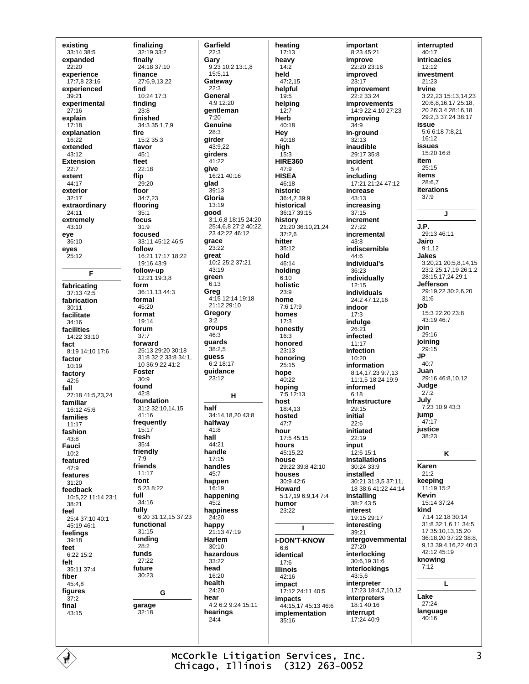existing 33:14 38:5 expanded  $22.20$ experience  $17.782316$ experienced 39:21 experimental  $27.16$ explain  $17:18$ explanation 16:22 extended 43:12 **Extension**  $22:7$ extent 44:17 exterior  $32:17$ extraordinary  $24:11$ extremely 43:10 eye 36:10 eves  $25.12$ F fabricating  $37.1342.5$ fabrication  $30:11$ facilitate  $34.16$ facilities 14:22 33:10 fact 8:19 14:10 17:6 factor 10:19 factory  $42:6$ fall 27:18 41:5.23.24 familiar 16:12 45:6 families  $11:17$ fashion  $43.8$ Fauci  $10:2$ featured 47:9 features  $31.20$ feedback 10:5.22 11:14 23:1 38:21 feel 25:4 37:10 40:1  $45.19461$ feelings  $39:18$ feet 6:22 15:2 felt  $35.11.374$ fiber 45:4,8 figures  $37.2$ final 43:15

finalizing 32:19 33:2 finally 24:18 37:10 finance 27:6.9.13.22 find 10:24 17:3 finding  $23.8$ finished 34:3 35:1,7,9 fire 15:2 35:3 flavor  $45:1$ fleet 22:18 flip  $29:20$ floor 34:7,23 flooring  $35:1$ focus  $31.9$ focused 33:11 45:12 46:5 follow 16.21 17:17 18:22 19:16 43:9 follow-un 12:21 19:3.8 form 36:11,13 44:3 formal  $45.20$ format 19:14 forum  $37 - 7$ forward 25:13 29:20 30:18 31:8 32:2 33:8 34:1. 10 36:9,22 41:2 Foster  $30:9$ found  $A2.8$ foundation 31:2 32:10,14,15  $41:16$ frequently  $15:17$ fresh  $35.4$ friendly  $7:9$ friends  $11.17$ front  $5:23.8:22$ full  $34.16$ fully 6:20 31:12,15 37:23 functional  $31:15$ funding 28:2 funds 27:22 future  $30:23$ G garage  $32:18$ 

Garfield  $22:3$ Garv 9:23 10:2 13:1.8 15:5.11 Gatewav  $22.3$ General  $4.912.20$ gentleman  $7.20$ Genuine  $28:3$ girder  $43.922$ girders  $41.22$ give 16:21 40:16 glad 39:13 Gloria 13:19 good  $3:1,6,8$  18:15 24:20 25:4.6.8 27:2 40:22. 23 42 22 46 12 grace つつ・つつ great 10:2 25:2 37:21 43:19 green  $6.13$ Greg 4:15 12:14 19:18 21:12 29:10 Gregory  $3:2$ groups  $46:3$ guards 38:2.5 guess  $6.218.17$ guidance 23:12 н half 34:14.18.20 43:8 halfway  $41.8$ hall  $44.21$ handle  $17.15$ handles  $45.7$ happen 16:19 happening  $45.2$ happiness  $24:20$ happy 21:13 47:19 Harlem  $30:10$ hazardous 33:22 head  $16:20$ health 24:20 hear 4:2 6:2 9:24 15:11 hearings  $24:4$ 

heating  $17:13$ heavy  $14.2$ held  $47.215$ helpful 19:5 helping  $12.7$ Herb 40:18 Hey  $40:18$ high  $15.3$ **HIRE360**  $47:9$ **HISEA** 46:18 historic 36:4,7 39:9 historical 36:17 39:15 history 21:20 36:10,21,24  $37:2.6$ hitter  $35:12$ hold 46:14 holding  $6:10$ holistic  $23:9$ home  $7.617.9$ homes  $17:3$ honestly  $16:3$ honored 23:13 honoring  $25:15$ hope  $40:22$ hoping 7:5 12:13 host 18:4.13 hosted  $47.7$ hour 17:5 45:15 hours  $45:15.22$ house 29:22 39:8 42:10 houses 30:9 42:6 Howard 5:17.19 6:9.14 7:4 humor 23:22 I. **I-DON'T-KNOW**  $6:6$ identical  $17:6$ **Illinois** 42:16 impact 17:12 24:11 40:5 *impacts* 44:15,17 45:13 46:6 implementation  $35.16$ 

important 8:23 45:21 improve  $22.2023.16$ improved  $23.17$ improvement 22:2 33:24 **improvements** 14:9 22:4,10 27:23 improving 34:9 in-ground  $32:13$ inaudible 29:17 35:8 incident  $5:4$ includina  $17.21$   $21.24$   $47.12$ increase  $43.13$ increasing  $37:15$ increment  $27.22$ incremental  $43:8$ indiscernible  $44.6$ individual's  $36.23$ individually 12:15 individuals  $24.2$  47.12 16 indoor  $17:3$ indulge 26:21 infected  $11:17$ infection  $10:20$ information 8:14 17 23 9:7 13 11:1,5 18:24 19:9 informed  $6:18$ Infrastructure 29:15 initial  $22 - 6$ initiated  $22:19$ input  $12.615.1$ installations 30:24 33:9 installed 30:21 31:3,5 37:11, 18 38:6 41:22 44:14 installing  $38.243.5$ interest 19:15 29:17 interestina  $39.21$ intergovernmental  $27:20$ interlocking 30:6,19 31:6 interlockings 43:5,6 interpreter 17:23 18:4,7,10,12 **interpreters** 18:1 40:16 interrupt 17:24 40:9

interrupted  $40:17$ **intricacies**  $12.12$ investment  $21.23$ **Irvine** 3:22,23 15:13,14,23 20:6,8,16,17 25:18, 20 26:3,4 28:16,18 29:2.3 37:24 38:17 issue  $5.66187.821$  $16.12$ **issues** 15:20 16:8 item  $25.15$ **items** 28:6,7 iterations  $37:9$  $\mathbf{I}$ J.P.  $29:1346:11$ Jairo  $9:1.12$ **Jakes** 3:20,21 20:5,8,14,15  $23:2$  25:17.19 26:1.2 28:15 17 24 29:1 Jefferson 29:19.22 30:2.6.20  $31.6$ job 15:3 22:20 23:8 43:19 46:7 join 29:16 joining  $29:15$ **JP**  $40.7$ Juan 29:16 46:8,10,12 Judge  $27:2$ July  $7.2310.9433$ jump 47:17 justice  $38.23$ K Karen  $21.2$ keeping 11:19 15:2 Kevin 15:14 37:24 kind 7:14 12:18 30:14 31:8 32:1,6,11 34:5, 17 35:10,13,15,20 36:18,20 37:22 38:8, 9,13 39:4,16,22 40:3 42:12 45:19 knowing  $7.12$ L Lake 27:24 language  $40:16$ 

McCorkle Litigation Services, Inc. Chicago, Illinois (312) 263-0052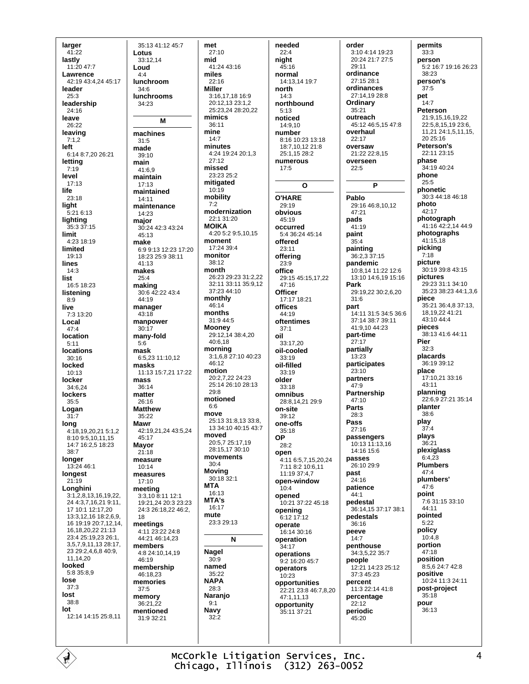larger  $41:22$ lastly 11:20 47:7 **Lawrence** 42:19 43:4.24 45:17 leader  $25:3$ leadership  $24.16$ leave 26:22 leaving  $7:1.2$ left 6:14 8:7,20 26:21 letting  $7:19$ level  $17:13$ life 23:18 light  $5:216:13$ lighting 35:3 37:15 limit 4:23 18:19 limited  $19.13$ lines  $14.3$ list 16:5 18:23 listening  $R \cdot Q$ live 7:3 13:20 Local  $47:4$ location  $5:11$ **locations**  $30:16$ locked  $10.13$ locker 34:6,24 lockers  $35:5$ Logan  $31.7$ lona 4:18,19,20,21 5:1,2 8:10 9:5,10,11,15 14:7 16:2,5 18:23  $38.7$ longer 13:24 46:1 longest  $21:19$ Longhini 3:1, 2, 8, 13, 16, 19, 22, 24 4 3 7 16 21 9 11 17 10:1 12:17 20 13:3 12 16 18:2 6 9 16 19:19 20:7.12.14. 16 18 20 22 21:13 23:4 25:19.23 26:1. 3,5,7,9,11,13 28:17, 23 29:2,4,6,8 40:9, 11.14.20 looked 5:8 35:8,9 lose  $37.3$ lost  $38.8$ lot 12:14 14:15 25:8.11

35:13 41:12 45:7 Lotus  $33.12$  14 Loud  $4.4$ lunchroom  $34.6$ lunchrooms  $34.23$ M machines  $31:5$ made  $39.10$ main  $41.69$ maintain  $17:13$ maintained  $14:11$ maintenance  $14.23$ major 30:24 42:3 43:24 45:13 make 6:9 9:13 12:23 17:20 18:23.25:9.38:11  $41.13$ makes  $25.4$ making 30:6 42:22 43:4  $44.19$ manager  $43:18$ manpower  $30:17$ many-fold  $5.6$ mask 6:5,23 11:10,12 masks 11:13 15:7,21 17:22 mass 36:14 matter  $26:16$ **Matthew**  $35.22$ Mawr 42:19,21,24 43:5,24  $45.17$ Mayor  $21:18$ **MARSUITA** 10:14 measures 17:10 meeting  $3:3,10.8:11.12:1$ 19:21,24 20:3 23:23 24:3 26:18,22 46:2,  $18$ meetings 4:11 23:22 24:8 44:21 46:14,23 members 4:8 24:10.14.19 46:19 membership 46:18,23 memories  $37:5$ memory 36:21.22 mentioned 31:9 32:21

met  $27:10$ mid 41:24 43:16 miles  $22.16$ **Miller** 3:16,17,18 16:9 20:12,13 23:1,2 25:23,24 28:20,22 mimics  $36:11$ mine  $14:7$ minutes 4:24 19:24 20:1.3  $27.12$ missed 23:23 25:2 mitigated  $10:19$ mobility  $7:2$ modernization 22:1 31:20 **MOIKA** 4:20 5:2 9:5.10.15 moment 17:24 39:4 monitor 38:12 month 26:23.29:23.31:2.22 32:11 33:11 35:9 12  $37.2344.10$ monthly 46:14 months 31:9 44:5 **Mooney** 29:12,14 38:4,20 40:6.18 morning  $3:1,6,8$  27:10 40:23 46:12 motion 20:2,7,22 24:23 25:14 26:10 28:13  $29.8$ motioned  $6:6$ move 25:13 31:8 13 33:8 13 34:10 40:15 43:7 moved 20:5,7 25:17,19 28:15.17 30:10 movements  $30 - 4$ **Movina** 30:18 32:1 **MTA** 16:13 MTA's  $16:17$ mute 23:3 29:13  $\mathbf N$ Nagel  $30.9$ named  $35.22$ **NAPA**  $28:3$ **Naranio**  $Q·1$ Navy  $32:2$ 

needed  $22:4$ niaht  $45.16$ normal 14:13.14 19:7 north  $14:3$ northbound  $5.13$ noticed 14:9,10 number 8:16 10:23 13:18 18:7 10 12 21:8 25:1.15 28:2 numerous  $17:5$  $\mathbf{o}$ **O'HARE** 29:19 obvious  $45.19$ occurred 5:4 36:24 45:14 offered 23:11 offering  $23.9$ office 29:15 45:15.17.22  $47.16$ Officer 17:17 18:21 offices  $44.19$ oftentimes  $37.1$ oil  $33.17.20$ oil-cooled  $33:19$ oil-filled  $33:19$ older  $33:18$ omnibus 28:8.14.21 29:9 on-site  $39.12$ one-offs  $35:18$ **OP**  $28.2$ open 4:11 6:5.7.15.20.24 7:11 8:2 10:6.11  $11.19.3747$ open-window  $10.4$ opened 10:21 37:22 45:18 opening  $6:1217:12$ operate  $16:1430:16$ operation  $34.17$ operations 9:2 16:20 45:7 operators  $10.23$ opportunities 22:21 23:8 46:7,8,20 47:1.11.13 opportunity 35.11.37.21

order 3:10 4:14 19:23 20:24 21:7 27:5 29:11 ordinance  $27.1528.1$ ordinances 27:14,19 28:8 Ordinary  $35.21$ outreach 45:12 46:5,15 47:8 overhaul 22:17 oversaw 21:22 22:8.15 overseen  $22.5$ Þ Pablo 29:16 46:8,10,12  $47.21$ nads  $41.19$ paint  $35:4$ painting  $36:2.3\,37:15$ pandemic 10:8.14 11:22 12:6 13:10 14:6,19 15:16 Park 29:19.22 30:2.6.20  $31.6$ part  $-4.11$  31:5 34:5 36:6 37:14 38:7 39:11 41:9 10 44:23 part-time  $27:17$ partially  $13.23$ participates  $23:10$ partners 47:9 Partnership  $47.10$ Parts 28:3 Pass  $27:16$ passengers 10:13 11:13,16 14:16 15:6 passes 26:10.29:9 nast  $24.16$ patience  $44:1$ pedestal 36:14,15 37:17 38:1 pedestals  $36.16$ peeve  $14:7$ penthouse  $34:352235:7$ people 12:21 14:23 25:12 37:3 45:23 percent 11:3 22:14 41:8 percentage  $22.12$ periodic 45:20

permits  $33:3$ person 5:2 16:7 19:16 26:23  $38.23$ person's  $37.5$ pet  $14:7$ Peterson 21:9 15 16 19 22 22:5,8,15,19 23:6, 11.21 24:1.5.11.15.  $20.25.16$ Peterson's 22:11 23:15 phase  $34.1940.24$ phone  $25:5$ phonetic 30:3 44:18 46:18 photo 42:17 photograph 41:16 42:2,14 44:9 photographs  $41:15.18$ picking  $7.18$ picture 30:19 39:8 43:15 pictures 29:23 31:1 34:10 35:23 38:23 44:1.3.6 piece 35:21 36:4,8 37:13, 18, 19, 22 41: 21 43:10 44:4 pieces 38:13 41:6 44:11 Pier  $32:3$ placards 36:19 39:12 place 17:10,21 33:16  $43:11$ planning 22:6,9 27:21 35:14 planter  $38.6$ play  $37:4$ plays 36:21 plexiglass  $6:4.\overline{2}3$ **Plumbers**  $47:4$ plumbers'  $47.6$ point 7:6 31:15 33:10 44:11 pointed  $5:22$ policy  $10.48$ portion  $47:18$ position  $8.5624.742.8$ positive 10:24 11:3 24:11 post-project  $35:18$ pour  $36.13$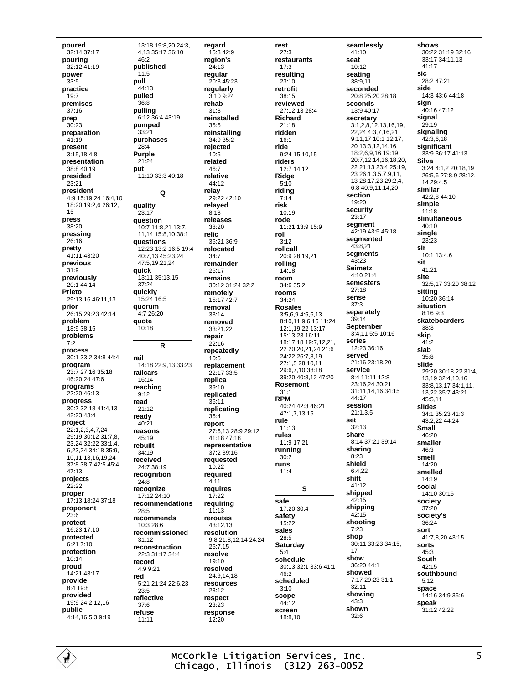poured 32:14 37:17 pouring  $32.12\,41.19$ power  $33.5$ practice  $19:7$ premises  $37.16$ prep  $30:23$ preparation  $41:19$ present 3:15,184:8 presentation  $38.840.19$ presided  $23:21$ president 4:9 15:19,24 16:4,10 18:20 19:2,6 26:12, 15 press  $38.20$ pressing 26:16 pretty 41:11 43:20 previous  $31:9$ previously 20:1 44:14 Prieto 29:13,16 46:11,13 prior 26:15 29:23 42:14 problem 18:9 38:15 problems  $7.2$ process 30:1 33:2 34:8 44:4 program 23:7 27:16 35:18 46:20.24 47:6 programs  $22.2046.13$ progress 30:7 32:18 41:4,13 42:23 43:4 project 22:1.2.3.4.7.24 29:19 30:12 31:7,8, 23 24 32 22 33 14 6.23.24 34:18 35:9. 10, 11, 13, 16, 19, 24 37:8 38:7 42:5 45:4  $47.13$ projects 22:22 proper 17:13 18:24 37:18 proponent 23:6 protect 16:23 17:10 protected 6:21 7:10 protection  $10.14$ proud 14:21 43:17 provide 8:4 19:8 provided 19:9 24:2,12,16 public 4:14,16 5:3 9:19

13:18 19:8.20 24:3. 4,13 35:17 36:10 46:2 published  $11:5$ pull  $44.13$ pulled  $36.8$ pulling 6:12 36:4 43:19 pumped  $33:21$ purchases  $28.4$ **Purple**  $21:24$ put 11:10 33:3 40:18  $\Omega$ quality  $23.17$ question 10:7 11:8,21 13:7, 11,14 15:8,10 38:1 questions 12:23 13:2 16:5 19:4 40:7,13 45:23,24 47:5,19,21,24 quick 13:11 35:13,15 37:24 quickly 15:24 16:5 quorum  $4.726.20$ quote 10:18  $\mathsf{R}$ rail 14:18 22:9,13 33:23 railcars 16:14 reaching  $9:12$ read 21:12 ready  $40.21$ reasons 45:19 rebuilt  $34.19$ received 24:7 38:19 recognition  $24:8$ recognize  $17.1224.10$ recommendations  $28:5$ recommends 10:3 28:6 recommissioned  $31.12$ reconstruction 22:3.31:17.34:4 record  $A \cdot Q$   $Q \cdot 21$ red 5:21 21:24 22:6,23  $23:5$ reflective  $37:6$ refuse  $11:11$ 

regard 15:3 42:9 reaion's  $24.13$ regular  $20.345.23$ regularly 3:10 9:24 rehab  $31.8$ reinstalled 35:5 reinstalling 34:9 35:2 rejected  $10:5$ related 46:7 relative 44:12 relay  $29.2242.10$ relayed  $8:18$ releases  $38.20$ relic 35:21 36:9 relocated  $34.7$ remainder  $26:17$ remains 30:12 31:24 32:2 remotely 15:17 42:7 removal  $33:14$ removed 33:21.22 repair  $22.16$ repeatedly  $10:5$ replacement  $22.17.33.5$ replica  $39:10$ replicated  $36:11$ replicating  $36.4$ report 27:6,13 28:9 29:12 41:18 47:18 representative  $37.2.39.16$ requested  $10.22$ required  $4:11$ requires  $17.22$ requiring  $11:13$ reroutes 43:12.13 resolution 9:8 21:8,12,14 24:24 25:7,15 resolve 19:10 heyloset 24:9,14,18 resources 23:12 respect 23:23 response  $12.20$ 

rest  $27:3$ restaurants  $17.3$ resulting  $23.10$ retrofit 38:15 reviewed 27:12 13 28:4 Richard  $21:18$ ridden  $16:1$ ride 9:24 15:10,15 riders 12:7 14:12 Ridge  $5:10$ riding  $7:14$ risk 10:19 rode 11:21 13:9 15:9 roll  $3:12$ rollcall 20:9 28:19.21 rolling  $14:18$ room 34:6 35:2 rooms  $34.24$ **Rosales** 3:5,6,9 4:5,6,13 8:10,11 9:6,16 11:24 12:1,19,22 13:17 15:13,23 16:11 18:17,18 19:7,12,21, 22 20:20,21,24 21:6 24:22 26:7,8,19 27:1.5 28:10.11 29.6 7.10.38.18 39:20 40:8.12 47:20 **Rosemont**  $31.1$ **RPM** 40:24 42:3 46:21 47:1,7,13,15 rule  $11.13$ rules 11:9 17:21 running  $30.2$ runs  $11:4$ S. safe 17:20 30:4 safety  $15.22$ sales 28:5 Saturday  $5:4$ schedule 30:13 32:1 33:6 41:1  $46.2$ scheduled  $3:10$ scope  $44.12$ screen 18:8,10

seamlessly  $41:10$ seat  $10.12$ seating 38:9.11 seconded 20:8 25:20 28:18 seconds  $13.940.17$ secretary  $3:1,2,8,12,13,16,19,$ 22,24 4:3,7,16,21 9:11,17 10:1 12:17, 20 13:3,12,14,16 18:2,6,9,16 19:19 20:7,12,14,16,18,20, 22 21:13 23:4 25:19, 23 26 1 3 5 7 9 11 13 28:17,23 29:2,4, 6.8 40:9.11.14.20 section  $19.20$ security  $23.17$ segment 42:19 43:5 45:18 segmented  $43:8.21$ segments  $43.23$ **Seimetz**  $4.10214$ semesters  $27:18$ sense  $37.3$ separately 39:14 **September** 3:4,11 5:5 10:16 series  $12.23.36.16$ served 21:16 23:18,20 service 8:4 11:11 12:8 23:16.24 30:21 31:11.14.16 34:15  $44.17$ session 21:1,3,5 set  $32.13$ share 8:14 37:21 39:14 sharing  $8.23$ shield  $6.422$ shift 41:12 shipped  $42.15$ shipping 42:15 shooting  $7:23$ shon  $30.11$   $33.23$   $34.15$ 17 show 36:20 44:1 showed 7:17 29:23 31:1  $32:11$ showina  $43:3$ shown  $32.6$ 

shows 30:22 31:19 32:16 33:17 34:11.13  $41:17$ sic  $28.247.21$ side 14:3 43:6 44:18 sign 40:16 47:12 signal 29:19 signaling 42:3.6.18 significant 33:9 36:17 41:13 Silva 3:24 4:1.2 20:18.19 26:5,6 27:8,9 28:12, 14 29:4,5 similar 42:2,8 44:10 simple 11:18 simultaneous 40:10 single  $23:23$ sir 10:1 13:4,6 sit 41:21 site 32:5.17 33:20 38:12 sitting 10:20 36:14 situation  $8.1693$ skateboarders  $38.3$ skip  $41:2$ slab  $35.8$ slide 29:20 30:18,22 31:4, 13,19 32:4,10,16 33:8,13,17 34:1,11, 13,22 35:7 43:21 45:5,11 slides  $\frac{11111}{34:1}$  35:23 41:3 43.2.22.44.24 **Small** 46:20 smaller  $46.3$ smell 14:20 smelled 14:19 social 14:10 30:15 society 37:20 society's 36:24 sort 41:7.8.20 43:15 sorts  $45:3$ **South**  $42.15$ southbound  $5.12$ space 14:16 34:9 35:6 speak  $31.1242.22$